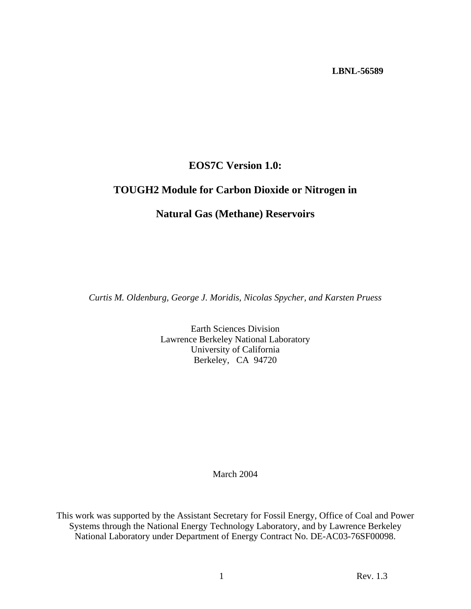**LBNL-56589** 

## **EOS7C Version 1.0:**

## **TOUGH2 Module for Carbon Dioxide or Nitrogen in**

## **Natural Gas (Methane) Reservoirs**

*Curtis M. Oldenburg, George J. Moridis, Nicolas Spycher, and Karsten Pruess*

Earth Sciences Division Lawrence Berkeley National Laboratory University of California Berkeley, CA 94720

March 2004

This work was supported by the Assistant Secretary for Fossil Energy, Office of Coal and Power Systems through the National Energy Technology Laboratory, and by Lawrence Berkeley National Laboratory under Department of Energy Contract No. DE-AC03-76SF00098.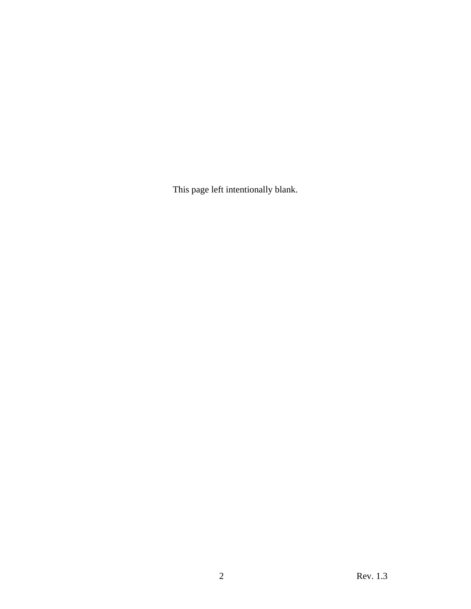This page left intentionally blank.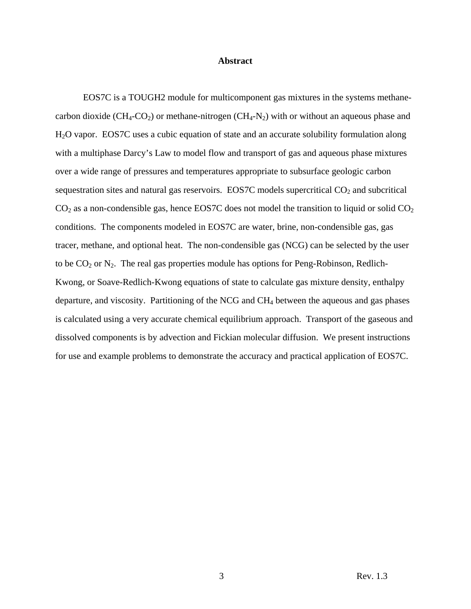#### **Abstract**

 EOS7C is a TOUGH2 module for multicomponent gas mixtures in the systems methanecarbon dioxide ( $CH_4$ - $CO_2$ ) or methane-nitrogen ( $CH_4$ - $N_2$ ) with or without an aqueous phase and H2O vapor. EOS7C uses a cubic equation of state and an accurate solubility formulation along with a multiphase Darcy's Law to model flow and transport of gas and aqueous phase mixtures over a wide range of pressures and temperatures appropriate to subsurface geologic carbon sequestration sites and natural gas reservoirs. EOS7C models supercritical  $CO<sub>2</sub>$  and subcritical  $CO<sub>2</sub>$  as a non-condensible gas, hence EOS7C does not model the transition to liquid or solid  $CO<sub>2</sub>$ conditions. The components modeled in EOS7C are water, brine, non-condensible gas, gas tracer, methane, and optional heat. The non-condensible gas (NCG) can be selected by the user to be  $CO_2$  or  $N_2$ . The real gas properties module has options for Peng-Robinson, Redlich-Kwong, or Soave-Redlich-Kwong equations of state to calculate gas mixture density, enthalpy departure, and viscosity. Partitioning of the NCG and  $CH<sub>4</sub>$  between the aqueous and gas phases is calculated using a very accurate chemical equilibrium approach. Transport of the gaseous and dissolved components is by advection and Fickian molecular diffusion. We present instructions for use and example problems to demonstrate the accuracy and practical application of EOS7C.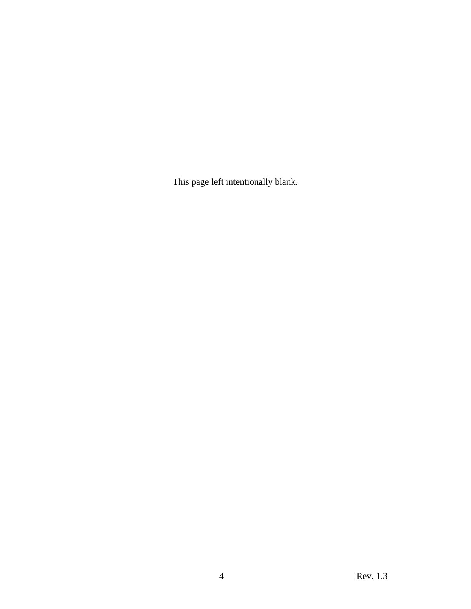This page left intentionally blank.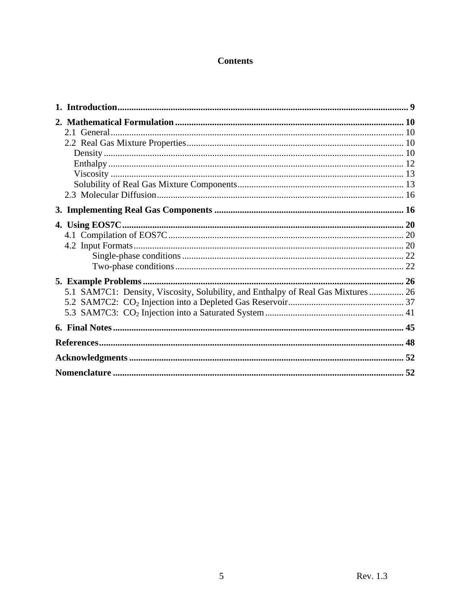## **Contents**

|                                                                                   | -9 |
|-----------------------------------------------------------------------------------|----|
|                                                                                   |    |
|                                                                                   |    |
|                                                                                   |    |
|                                                                                   |    |
|                                                                                   |    |
|                                                                                   |    |
|                                                                                   |    |
|                                                                                   |    |
|                                                                                   |    |
|                                                                                   |    |
|                                                                                   |    |
|                                                                                   |    |
|                                                                                   |    |
|                                                                                   |    |
|                                                                                   |    |
| 5.1 SAM7C1: Density, Viscosity, Solubility, and Enthalpy of Real Gas Mixtures  26 |    |
|                                                                                   |    |
|                                                                                   |    |
|                                                                                   |    |
|                                                                                   |    |
|                                                                                   |    |
|                                                                                   |    |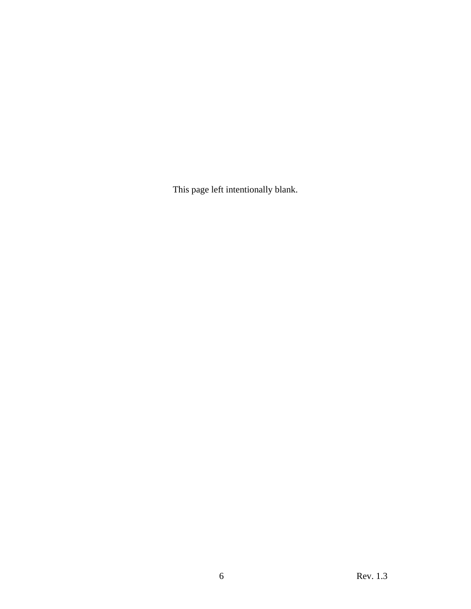This page left intentionally blank.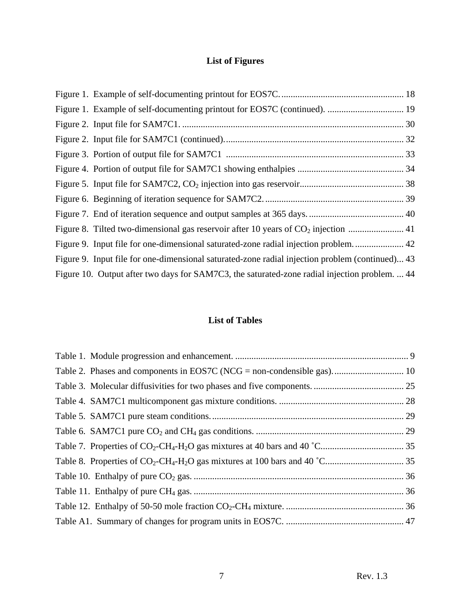## **List of Figures**

| Figure 9. Input file for one-dimensional saturated-zone radial injection problem (continued) 43 |  |
|-------------------------------------------------------------------------------------------------|--|
| Figure 10. Output after two days for SAM7C3, the saturated-zone radial injection problem.  44   |  |

## **List of Tables**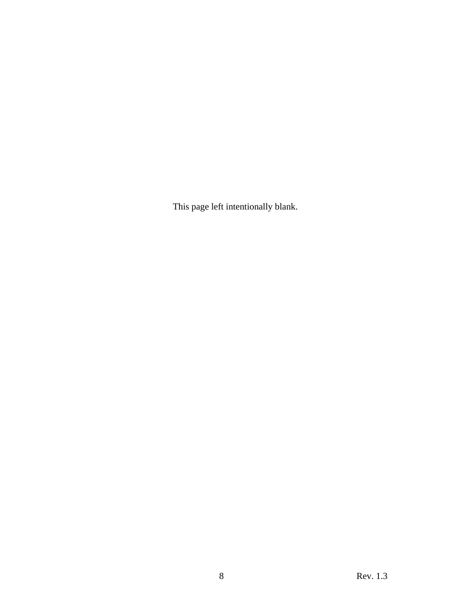This page left intentionally blank.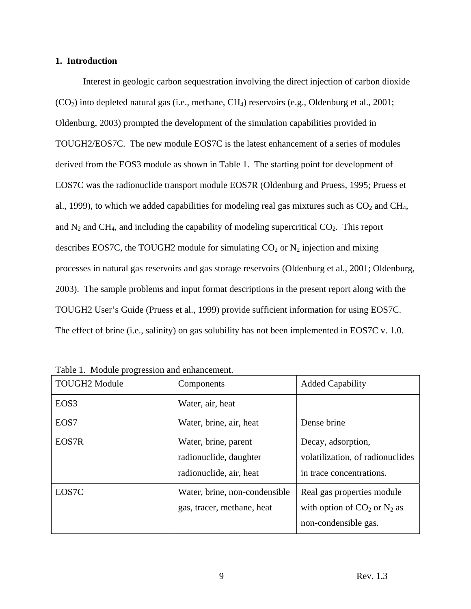#### **1. Introduction**

 Interest in geologic carbon sequestration involving the direct injection of carbon dioxide  $(CO<sub>2</sub>)$  into depleted natural gas (i.e., methane, CH<sub>4</sub>) reservoirs (e.g., Oldenburg et al., 2001; Oldenburg, 2003) prompted the development of the simulation capabilities provided in TOUGH2/EOS7C. The new module EOS7C is the latest enhancement of a series of modules derived from the EOS3 module as shown in Table 1. The starting point for development of EOS7C was the radionuclide transport module EOS7R (Oldenburg and Pruess, 1995; Pruess et al., 1999), to which we added capabilities for modeling real gas mixtures such as  $CO<sub>2</sub>$  and CH<sub>4</sub>, and  $N_2$  and CH<sub>4</sub>, and including the capability of modeling supercritical  $CO_2$ . This report describes EOS7C, the TOUGH2 module for simulating  $CO<sub>2</sub>$  or  $N<sub>2</sub>$  injection and mixing processes in natural gas reservoirs and gas storage reservoirs (Oldenburg et al., 2001; Oldenburg, 2003). The sample problems and input format descriptions in the present report along with the TOUGH2 User's Guide (Pruess et al., 1999) provide sufficient information for using EOS7C. The effect of brine (i.e., salinity) on gas solubility has not been implemented in EOS7C v. 1.0.

| <b>TOUGH2</b> Module | Components                                                                | <b>Added Capability</b>                                                                         |
|----------------------|---------------------------------------------------------------------------|-------------------------------------------------------------------------------------------------|
| EOS3                 | Water, air, heat                                                          |                                                                                                 |
| EOS7                 | Water, brine, air, heat                                                   | Dense brine                                                                                     |
| EOS7R                | Water, brine, parent<br>radionuclide, daughter<br>radionuclide, air, heat | Decay, adsorption,<br>volatilization, of radionuclides<br>in trace concentrations.              |
| EOS7C                | Water, brine, non-condensible<br>gas, tracer, methane, heat               | Real gas properties module<br>with option of $CO2$ or N <sub>2</sub> as<br>non-condensible gas. |

Table 1. Module progression and enhancement.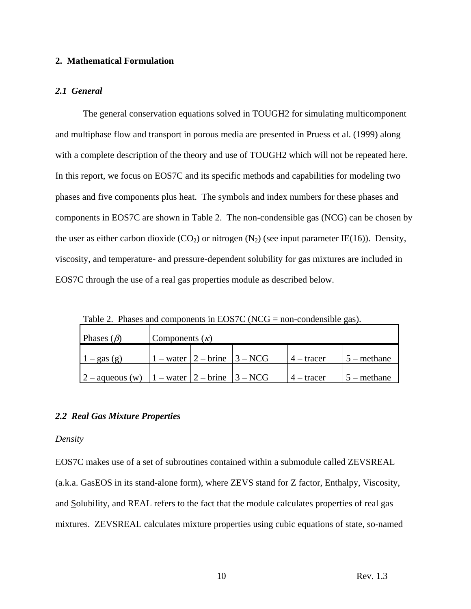#### **2. Mathematical Formulation**

#### *2.1 General*

 The general conservation equations solved in TOUGH2 for simulating multicomponent and multiphase flow and transport in porous media are presented in Pruess et al. (1999) along with a complete description of the theory and use of TOUGH2 which will not be repeated here. In this report, we focus on EOS7C and its specific methods and capabilities for modeling two phases and five components plus heat. The symbols and index numbers for these phases and components in EOS7C are shown in Table 2. The non-condensible gas (NCG) can be chosen by the user as either carbon dioxide  $(CO_2)$  or nitrogen  $(N_2)$  (see input parameter IE(16)). Density, viscosity, and temperature- and pressure-dependent solubility for gas mixtures are included in EOS7C through the use of a real gas properties module as described below.

Phases ( $\beta$ ) Components ( $\kappa$ )  $1 - gas$  (g) 1 – water  $2 - brine$  3 – NCG 4 – tracer 5 – methane 2 – aqueous (w)  $1$  – water  $2$  – brine  $3$  – NCG  $4$  – tracer  $5$  – methane

Table 2. Phases and components in EOS7C (NCG = non-condensible gas).

#### *2.2 Real Gas Mixture Properties*

#### *Density*

EOS7C makes use of a set of subroutines contained within a submodule called ZEVSREAL (a.k.a. GasEOS in its stand-alone form), where ZEVS stand for Z factor, Enthalpy, Viscosity, and Solubility, and REAL refers to the fact that the module calculates properties of real gas mixtures. ZEVSREAL calculates mixture properties using cubic equations of state, so-named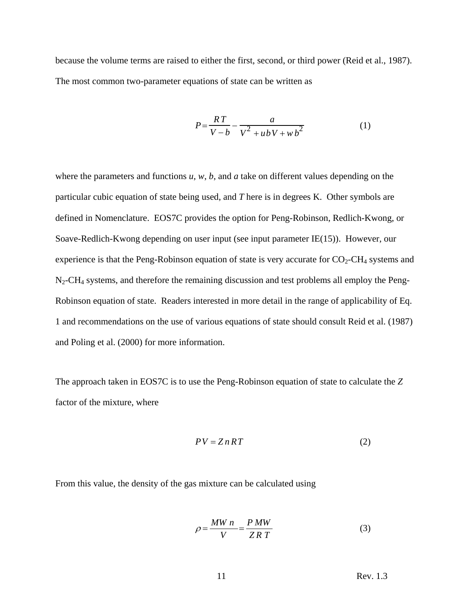because the volume terms are raised to either the first, second, or third power (Reid et al., 1987). The most common two-parameter equations of state can be written as

$$
P = \frac{RT}{V - b} - \frac{a}{V^2 + ubV + wb^2}
$$
 (1)

where the parameters and functions *u*, *w*, *b*, and *a* take on different values depending on the particular cubic equation of state being used, and *T* here is in degrees K. Other symbols are defined in Nomenclature. EOS7C provides the option for Peng-Robinson, Redlich-Kwong, or Soave-Redlich-Kwong depending on user input (see input parameter IE(15)). However, our experience is that the Peng-Robinson equation of state is very accurate for  $CO<sub>2</sub>-CH<sub>4</sub>$  systems and  $N_2$ -CH<sub>4</sub> systems, and therefore the remaining discussion and test problems all employ the Peng-Robinson equation of state. Readers interested in more detail in the range of applicability of Eq. 1 and recommendations on the use of various equations of state should consult Reid et al. (1987) and Poling et al. (2000) for more information.

The approach taken in EOS7C is to use the Peng-Robinson equation of state to calculate the *Z* factor of the mixture, where

$$
PV = ZnRT \tag{2}
$$

From this value, the density of the gas mixture can be calculated using

$$
\rho = \frac{MW \ n}{V} = \frac{PMW}{ZRT} \tag{3}
$$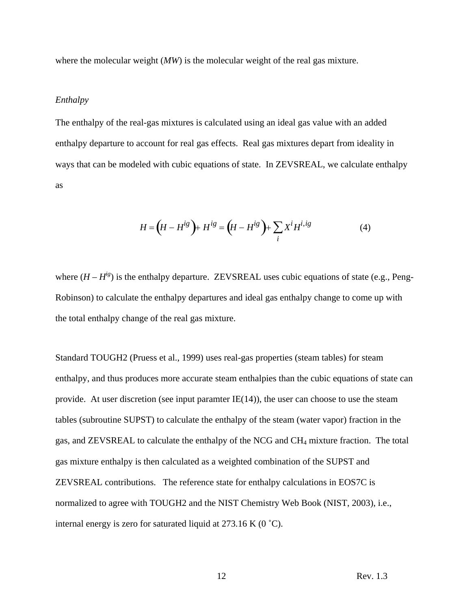where the molecular weight (*MW*) is the molecular weight of the real gas mixture.

#### *Enthalpy*

The enthalpy of the real-gas mixtures is calculated using an ideal gas value with an added enthalpy departure to account for real gas effects. Real gas mixtures depart from ideality in ways that can be modeled with cubic equations of state. In ZEVSREAL, we calculate enthalpy as

$$
H = \left(H - H^{ig}\right) + H^{ig} = \left(H - H^{ig}\right) + \sum_{i} X^{i} H^{i, ig}
$$
 (4)

where  $(H - H^{ig})$  is the enthalpy departure. ZEVSREAL uses cubic equations of state (e.g., Peng-Robinson) to calculate the enthalpy departures and ideal gas enthalpy change to come up with the total enthalpy change of the real gas mixture.

Standard TOUGH2 (Pruess et al., 1999) uses real-gas properties (steam tables) for steam enthalpy, and thus produces more accurate steam enthalpies than the cubic equations of state can provide. At user discretion (see input paramter  $IE(14)$ ), the user can choose to use the steam tables (subroutine SUPST) to calculate the enthalpy of the steam (water vapor) fraction in the gas, and ZEVSREAL to calculate the enthalpy of the NCG and CH4 mixture fraction. The total gas mixture enthalpy is then calculated as a weighted combination of the SUPST and ZEVSREAL contributions. The reference state for enthalpy calculations in EOS7C is normalized to agree with TOUGH2 and the NIST Chemistry Web Book (NIST, 2003), i.e., internal energy is zero for saturated liquid at 273.16 K (0 ˚C).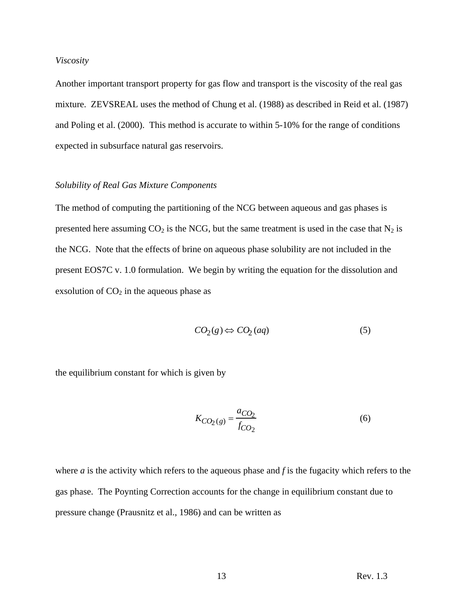#### *Viscosity*

Another important transport property for gas flow and transport is the viscosity of the real gas mixture. ZEVSREAL uses the method of Chung et al. (1988) as described in Reid et al. (1987) and Poling et al. (2000). This method is accurate to within 5-10% for the range of conditions expected in subsurface natural gas reservoirs.

#### *Solubility of Real Gas Mixture Components*

The method of computing the partitioning of the NCG between aqueous and gas phases is presented here assuming  $CO_2$  is the NCG, but the same treatment is used in the case that  $N_2$  is the NCG. Note that the effects of brine on aqueous phase solubility are not included in the present EOS7C v. 1.0 formulation. We begin by writing the equation for the dissolution and exsolution of  $CO<sub>2</sub>$  in the aqueous phase as

$$
CO2(g) \Leftrightarrow CO2(aq)
$$
 (5)

the equilibrium constant for which is given by

$$
K_{CO_2(g)} = \frac{a_{CO_2}}{f_{CO_2}}
$$
 (6)

where *a* is the activity which refers to the aqueous phase and *f* is the fugacity which refers to the gas phase. The Poynting Correction accounts for the change in equilibrium constant due to pressure change (Prausnitz et al., 1986) and can be written as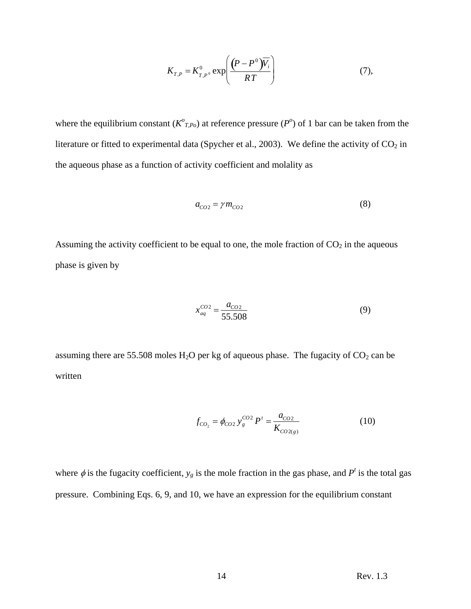$$
K_{T,P} = K_{T,P^0}^0 \exp\left(\frac{(P-P^0)\overline{V_i}}{RT}\right) \tag{7},
$$

where the equilibrium constant  $(K^o_{T,Po})$  at reference pressure  $(P^o)$  of 1 bar can be taken from the literature or fitted to experimental data (Spycher et al., 2003). We define the activity of  $CO<sub>2</sub>$  in the aqueous phase as a function of activity coefficient and molality as

$$
a_{CO2} = \gamma m_{CO2} \tag{8}
$$

Assuming the activity coefficient to be equal to one, the mole fraction of  $CO<sub>2</sub>$  in the aqueous phase is given by

$$
x_{aq}^{CO2} = \frac{a_{CO2}}{55.508}
$$
 (9)

assuming there are 55.508 moles  $H_2O$  per kg of aqueous phase. The fugacity of  $CO_2$  can be written

$$
f_{CO_2} = \phi_{CO2} y_g^{CO2} P^t = \frac{a_{CO2}}{K_{CO2(g)}}
$$
(10)

where  $\phi$  is the fugacity coefficient,  $y_g$  is the mole fraction in the gas phase, and  $P^t$  is the total gas pressure. Combining Eqs. 6, 9, and 10, we have an expression for the equilibrium constant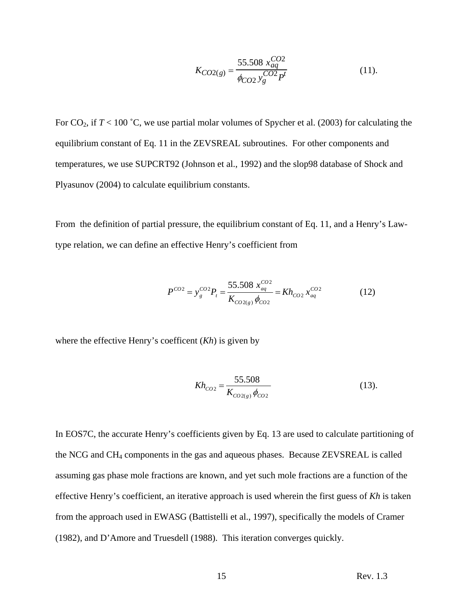$$
K_{CO2(g)} = \frac{55.508 \ x_{aq}^{CO2}}{\phi_{CO2} \ y_g^{CO2} P^t}
$$
 (11).

For  $CO_2$ , if  $T < 100$  °C, we use partial molar volumes of Spycher et al. (2003) for calculating the equilibrium constant of Eq. 11 in the ZEVSREAL subroutines. For other components and temperatures, we use SUPCRT92 (Johnson et al., 1992) and the slop98 database of Shock and Plyasunov (2004) to calculate equilibrium constants.

From the definition of partial pressure, the equilibrium constant of Eq. 11, and a Henry's Lawtype relation, we can define an effective Henry's coefficient from

$$
P^{CO2} = y_g^{CO2} P_t = \frac{55.508 \ x_{aq}^{CO2}}{K_{CO2(g)} \phi_{CO2}} = Kh_{CO2} x_{aq}^{CO2}
$$
 (12)

where the effective Henry's coefficent (*Kh*) is given by

$$
Kh_{CO2} = \frac{55.508}{K_{CO2(g)} \phi_{CO2}} \tag{13}
$$

In EOS7C, the accurate Henry's coefficients given by Eq. 13 are used to calculate partitioning of the NCG and CH4 components in the gas and aqueous phases. Because ZEVSREAL is called assuming gas phase mole fractions are known, and yet such mole fractions are a function of the effective Henry's coefficient, an iterative approach is used wherein the first guess of *Kh* is taken from the approach used in EWASG (Battistelli et al., 1997), specifically the models of Cramer (1982), and D'Amore and Truesdell (1988). This iteration converges quickly.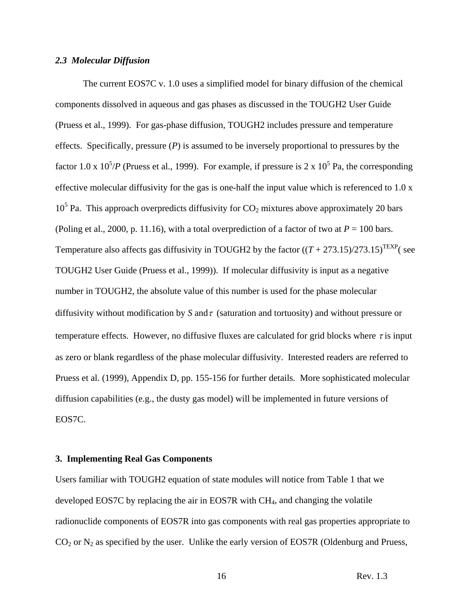#### *2.3 Molecular Diffusion*

 The current EOS7C v. 1.0 uses a simplified model for binary diffusion of the chemical components dissolved in aqueous and gas phases as discussed in the TOUGH2 User Guide (Pruess et al., 1999). For gas-phase diffusion, TOUGH2 includes pressure and temperature effects. Specifically, pressure (*P*) is assumed to be inversely proportional to pressures by the factor 1.0 x  $10^5$ /*P* (Pruess et al., 1999). For example, if pressure is 2 x  $10^5$  Pa, the corresponding effective molecular diffusivity for the gas is one-half the input value which is referenced to 1.0 x  $10<sup>5</sup>$  Pa. This approach overpredicts diffusivity for  $CO<sub>2</sub>$  mixtures above approximately 20 bars (Poling et al., 2000, p. 11.16), with a total overprediction of a factor of two at  $P = 100$  bars. Temperature also affects gas diffusivity in TOUGH2 by the factor  $((T + 273.15)/273.15)^{\text{TEXP}}$  see TOUGH2 User Guide (Pruess et al., 1999)). If molecular diffusivity is input as a negative number in TOUGH2, the absolute value of this number is used for the phase molecular diffusivity without modification by  $S$  and  $\tau$  (saturation and tortuosity) and without pressure or temperature effects. However, no diffusive fluxes are calculated for grid blocks where  $\tau$  is input as zero or blank regardless of the phase molecular diffusivity. Interested readers are referred to Pruess et al. (1999), Appendix D, pp. 155-156 for further details. More sophisticated molecular diffusion capabilities (e.g., the dusty gas model) will be implemented in future versions of EOS7C.

#### **3. Implementing Real Gas Components**

Users familiar with TOUGH2 equation of state modules will notice from Table 1 that we developed EOS7C by replacing the air in EOS7R with CH<sub>4</sub>, and changing the volatile radionuclide components of EOS7R into gas components with real gas properties appropriate to  $CO<sub>2</sub>$  or N<sub>2</sub> as specified by the user. Unlike the early version of EOS7R (Oldenburg and Pruess,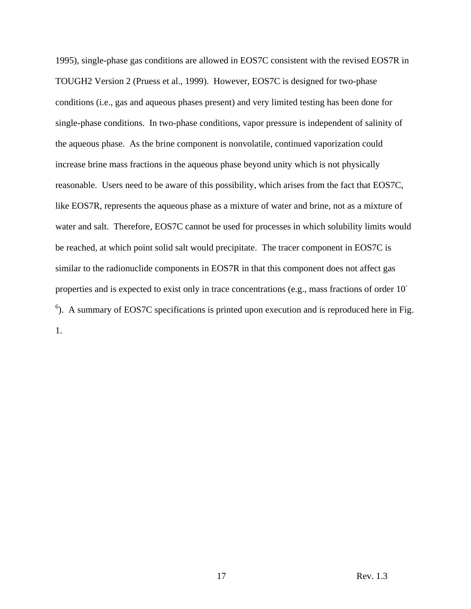1995), single-phase gas conditions are allowed in EOS7C consistent with the revised EOS7R in TOUGH2 Version 2 (Pruess et al., 1999). However, EOS7C is designed for two-phase conditions (i.e., gas and aqueous phases present) and very limited testing has been done for single-phase conditions. In two-phase conditions, vapor pressure is independent of salinity of the aqueous phase. As the brine component is nonvolatile, continued vaporization could increase brine mass fractions in the aqueous phase beyond unity which is not physically reasonable. Users need to be aware of this possibility, which arises from the fact that EOS7C, like EOS7R, represents the aqueous phase as a mixture of water and brine, not as a mixture of water and salt. Therefore, EOS7C cannot be used for processes in which solubility limits would be reached, at which point solid salt would precipitate. The tracer component in EOS7C is similar to the radionuclide components in EOS7R in that this component does not affect gas properties and is expected to exist only in trace concentrations (e.g., mass fractions of order 10-  $<sup>6</sup>$ ). A summary of EOS7C specifications is printed upon execution and is reproduced here in Fig.</sup> 1.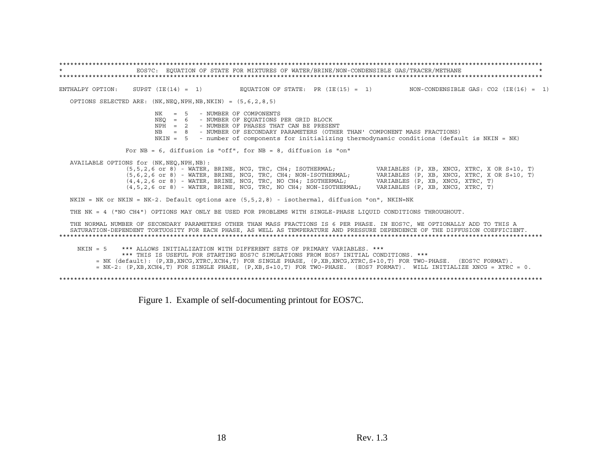\*\*\*\*\*\*\*\*\*\*\*\*\*\*\*\*\*\*\*\*\*\*\*\*\*\*\*\*\*\*\*\*\*\*\*\*\*\*\*\*\*\*\*\*\*\*\*\*\*\*\*\*\*\*\*\*\*\*\*\*\*\*\*\*\*\*\*\*\*\*\*\*\*\*\*\*\*\*\*\*\*\*\*\*\*\*\*\*\*\*\*\*\*\*\*\*\*\*\*\*\*\*\*\*\*\*\*\*\*\*\*\*\*\*\*\*\*\*\*\*\*\*\*\*\*\*\*\*\*\*\* \* EOS7C: EQUATION OF STATE FOR MIXTURES OF WATER/BRINE/NON-CONDENSIBLE GAS/TRACER/METHANE \* \*\*\*\*\*\*\*\*\*\*\*\*\*\*\*\*\*\*\*\*\*\*\*\*\*\*\*\*\*\*\*\*\*\*\*\*\*\*\*\*\*\*\*\*\*\*\*\*\*\*\*\*\*\*\*\*\*\*\*\*\*\*\*\*\*\*\*\*\*\*\*\*\*\*\*\*\*\*\*\*\*\*\*\*\*\*\*\*\*\*\*\*\*\*\*\*\*\*\*\*\*\*\*\*\*\*\*\*\*\*\*\*\*\*\*\*\*\*\*\*\*\*\*\*\*\*\*\*\*\*\* ENTHALPY OPTION: SUPST (IE(14) = 1) EQUATION OF STATE: PR (IE(15) = 1) NON-CONDENSIBLE GAS: CO2 (IE(16) = 1) OPTIONS SELECTED ARE:  $(NK,NEQ, NPH, NB, NKIN) = (5, 6, 2, 8, 5)$  NK = 5 - NUMBER OF COMPONENTS NEQ = 6 - NUMBER OF EQUATIONS PER GRID BLOCK NPH = 2 - NUMBER OF PHASES THAT CAN BE PRESENT NB = 8 - NUMBER OF SECONDARY PARAMETERS (OTHER THAN' COMPONENT MASS FRACTIONS) NKIN = 5 - number of components for initializing thermodynamic conditions (default is NKIN = NK) For NB = 6, diffusion is "off", for NB = 8, diffusion is "on" AVAILABLE OPTIONS for (NK,NEQ,NPH,NB): (5,5,2,6 or 8) - WATER, BRINE, NCG, TRC, CH4; ISOTHERMAL; VARIABLES (P, XB, XNCG, XTRC, X OR S+10, T) (5,6,2,6 or 8) - WATER, BRINE, NCG, TRC, CH4; NON-ISOTHERMAL; VARIABLES (P, XB, XNCG, XTRC, X OR S+10, T)  $(4,4,2,6$  or 8) - WATER, BRINE, NCG, TRC, NO CH $4$ ; ISOTHERMAL; (4,5,2,6 or 8) - WATER, BRINE, NCG, TRC, NO CH4; NON-ISOTHERMAL; VARIABLES (P, XB, XNCG, XTRC, T) NKIN = NK or NKIN = NK-2. Default options are (5,5,2,8) - isothermal, diffusion "on", NKIN=NK THE NK = 4 ("NO CH4") OPTIONS MAY ONLY BE USED FOR PROBLEMS WITH SINGLE-PHASE LIQUID CONDITIONS THROUGHOUT. THE NORMAL NUMBER OF SECONDARY PARAMETERS OTHER THAN MASS FRACTIONS IS 6 PER PHASE. IN EOS7C, WE OPTIONALLY ADD TO THIS A SATURATION-DEPENDENT TORTUOSITY FOR EACH PHASE, AS WELL AS TEMPERATURE AND PRESSURE DEPENDENCE OF THE DIFFUSION COEFFICIENT. \*\*\*\*\*\*\*\*\*\*\*\*\*\*\*\*\*\*\*\*\*\*\*\*\*\*\*\*\*\*\*\*\*\*\*\*\*\*\*\*\*\*\*\*\*\*\*\*\*\*\*\*\*\*\*\*\*\*\*\*\*\*\*\*\*\*\*\*\*\*\*\*\*\*\*\*\*\*\*\*\*\*\*\*\*\*\*\*\*\*\*\*\*\*\*\*\*\*\*\*\*\*\*\*\*\*\*\*\*\*\*\*\*\*\*\*\*\*\*\*\*\*\*\*\*\*\*\*\*\*\* NKIN = 5 \*\*\* ALLOWS INITIALIZATION WITH DIFFERENT SETS OF PRIMARY VARIABLES. \*\*\* \*\*\* THIS IS USEFUL FOR STARTING EOS7C SIMULATIONS FROM EOS7 INITIAL CONDITIONS. \*\*\* = NK (default): (P,XB,XNCG,XTRC,XCH4,T) FOR SINGLE PHASE, (P,XB,XNCG,XTRC,S+10,T) FOR TWO-PHASE. (EOS7C FORMAT). = NK-2: (P,XB,XCH4,T) FOR SINGLE PHASE, (P,XB,S+10,T) FOR TWO-PHASE. (EOS7 FORMAT). WILL INITIALIZE XNCG = XTRC = 0. \*\*\*\*\*\*\*\*\*\*\*\*\*\*\*\*\*\*\*\*\*\*\*\*\*\*\*\*\*\*\*\*\*\*\*\*\*\*\*\*\*\*\*\*\*\*\*\*\*\*\*\*\*\*\*\*\*\*\*\*\*\*\*\*\*\*\*\*\*\*\*\*\*\*\*\*\*\*\*\*\*\*\*\*\*\*\*\*\*\*\*\*\*\*\*\*\*\*\*\*\*\*\*\*\*\*\*\*\*\*\*\*\*\*\*\*\*\*\*\*\*\*\*\*\*\*\*\*\*\*\*

Figure 1. Example of self-documenting printout for EOS7C.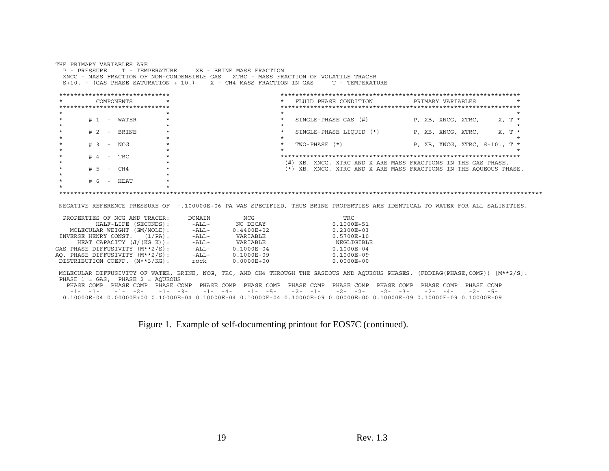THE PRIMARY VARIABLES ARE P - PRESSURE T - TEMPERATURE XB - BRINE MASS FRACTION XNCG - MASS FRACTION OF NON-CONDENSIBLE GAS XTRC - MASS FRACTION OF VOLATILE TRACER S+10. - (GAS PHASE SATURATION + 10.) X - CH4 MASS FRACTION IN GAS T - TEMPERATURE \*\*\*\*\*\*\*\*\*\*\*\*\*\*\*\*\*\*\*\*\*\*\*\*\*\*\*\*\*\* \*\*\*\*\*\*\*\*\*\*\*\*\*\*\*\*\*\*\*\*\*\*\*\*\*\*\*\*\*\*\*\*\*\*\*\*\*\*\*\*\*\*\*\*\*\*\*\*\*\*\*\*\*\*\*\*\*\*\*\*\*\*\*\*\* \* COMPONENTS \* \* FLUID PHASE CONDITION PRIMARY VARIABLES \* \*\*\*\*\*\*\*\*\*\*\*\*\*\*\*\*\*\*\*\*\*\*\*\*\*\*\*\*\*\* \*\*\*\*\*\*\*\*\*\*\*\*\*\*\*\*\*\*\*\*\*\*\*\*\*\*\*\*\*\*\*\*\*\*\*\*\*\*\*\*\*\*\*\*\*\*\*\*\*\*\*\*\*\*\*\*\*\*\*\*\*\*\*\*\*  $\star$   $\star$   $\star$   $\star$   $\star$   $\star$ X, T \* \* # 1 - WATER \* \* SINGLE-PHASE GAS (#) P, XB, XNCG, XTRC, X, T \*  $\star$  \* \*  $\star$  \* \*  $\star$  \* \*  $\star$  \* \*  $\star$  \* \*  $\star$  \* \*  $\star$  \* \*  $\star$  \* \*  $\star$  \* \*  $\star$  \* \*  $\star$  \* \*  $\star$  \* \*  $\star$  \* \*  $\star$  \* \*  $\star$  \* \*  $\star$  \* \*  $\star$  \* \*  $\star$  \* \*  $\star$  \* \*  $\star$  \* \*  $\star$  \* \*  $\star$  \* \*  $\star$  \* \*  $\star$  \* \* \*  $\star$  \* # 2 - BRINE \* \* SINGLE-PHASE LIQUID (\*) P, XB, XNCG, XTRC, X, T \*  $\star$   $\star$   $\star$   $\star$   $\star$   $\star$  \* # 3 - NCG \* \* TWO-PHASE (\*) P, XB, XNCG, XTRC, S+10., T \*  $\star$  \* \*  $\star$  \* \*  $\star$  \* \*  $\star$  \* \*  $\star$  \* \*  $\star$  \* \*  $\star$  \* \*  $\star$  \* \*  $\star$  \* \*  $\star$  \* \*  $\star$  \* \*  $\star$  \* \*  $\star$  \* \*  $\star$  \* \*  $\star$  \* \*  $\star$  \* \*  $\star$  \* \*  $\star$  \* \*  $\star$  \* \*  $\star$  \* \*  $\star$  \* \*  $\star$  \* \*  $\star$  \* \*  $\star$  \* \* \*  $\star$  \* # 4 - TRC \* \*\*\*\*\*\*\*\*\*\*\*\*\*\*\*\*\*\*\*\*\*\*\*\*\*\*\*\*\*\*\*\*\*\*\*\*\*\*\*\*\*\*\*\*\*\*\*\*\*\*\*\*\*\*\*\*\*\*\*\*\*\*\*\*\* (#) XB, XNCG, XTRC AND X ARE MASS FRACTIONS IN THE GAS PHASE. \* # 5 - CH4 \* (\*) XB, XNCG, XTRC AND X ARE MASS FRACTIONS IN THE AQUEOUS PHASE.  $\star$   $\star$  $# 6 - HERT$  $\star$   $\star$  \*\*\*\*\*\*\*\*\*\*\*\*\*\*\*\*\*\*\*\*\*\*\*\*\*\*\*\*\*\*\*\*\*\*\*\*\*\*\*\*\*\*\*\*\*\*\*\*\*\*\*\*\*\*\*\*\*\*\*\*\*\*\*\*\*\*\*\*\*\*\*\*\*\*\*\*\*\*\*\*\*\*\*\*\*\*\*\*\*\*\*\*\*\*\*\*\*\*\*\*\*\*\*\*\*\*\*\*\*\*\*\*\*\*\*\*\*\*\*\*\*\*\*\*\*\*\*\*\*\*\* NEGATIVE REFERENCE PRESSURE OF -.100000E+06 PA WAS SPECIFIED, THUS BRINE PROPERTIES ARE IDENTICAL TO WATER FOR ALL SALINITIES. PROPERTIES OF NCG AND TRACER: DOMAIN NCG TRC  $0.1000E + 51$ HALF-LIFE (SECONDS): - ALL- NO DECAY MOLECULAR WEIGHT (GM/MOLE): -ALL- 0.4400E+02 0.2300E+03 INVERSE HENRY CONST. (1/PA): -ALL- VARIABLE 0.5700E-10 HEAT CAPACITY (J/(KG K)): -ALL- VARIABLE NEGLIGIBLE GAS PHASE DIFFUSIVITY  $(M**2/S)$ : -ALL- 0.1000E-04 0.1000E-04 0.1000E-04 0.1000E-09 0.1000E-09 AQ. PHASE DIFFUSIVITY (M\*\*2/S): -ALL- 0.1000E-09 0.1000E-09 DISTRIBUTION COEFF. (M\*\*3/KG): rock 0.0000E+00 0.0000E+00 MOLECULAR DIFFUSIVITY OF WATER, BRINE, NCG, TRC, AND CH4 THROUGH THE GASEOUS AND AQUEOUS PHASES, (FDDIAG(PHASE,COMP)) [M\*\*2/S]: PHASE 1 = GAS; PHASE 2 = AQUEOUS PHASE COMP PHASE COMP PHASE COMP PHASE COMP PHASE COMP PHASE COMP PHASE COMP PHASE COMP PHASE COMP PHASE COMP -1- -1- -1- -2- -1- -3- -1- -4- -1- -5- -2- -1- -2- -2- -2- -3- -2- -4- -2- -5- 0.10000E-04 0.00000E+00 0.10000E-04 0.10000E-04 0.10000E-04 0.10000E-09 0.00000E+00 0.10000E-09 0.10000E-09 0.10000E-09

Figure 1. Example of self-documenting printout for EOS7C (continued).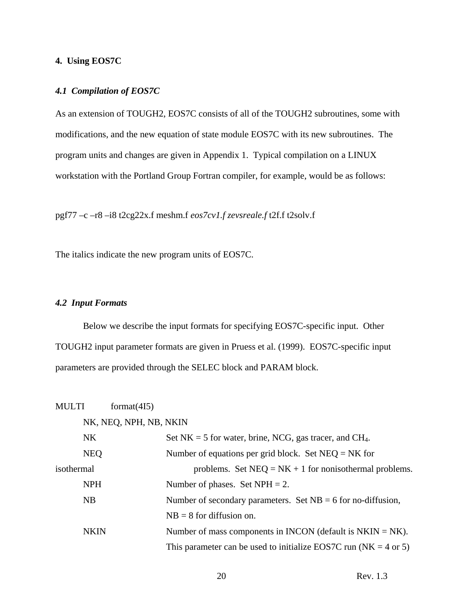#### **4. Using EOS7C**

#### *4.1 Compilation of EOS7C*

As an extension of TOUGH2, EOS7C consists of all of the TOUGH2 subroutines, some with modifications, and the new equation of state module EOS7C with its new subroutines. The program units and changes are given in Appendix 1. Typical compilation on a LINUX workstation with the Portland Group Fortran compiler, for example, would be as follows:

pgf77 –c –r8 –i8 t2cg22x.f meshm.f *eos7cv1.f zevsreale.f* t2f.f t2solv.f

The italics indicate the new program units of EOS7C.

#### *4.2 Input Formats*

 Below we describe the input formats for specifying EOS7C-specific input. Other TOUGH2 input parameter formats are given in Pruess et al. (1999). EOS7C-specific input parameters are provided through the SELEC block and PARAM block.

| <b>MULTI</b> | format $(4I5)$         |                                                                       |
|--------------|------------------------|-----------------------------------------------------------------------|
|              | NK, NEQ, NPH, NB, NKIN |                                                                       |
| <b>NK</b>    |                        | Set $NK = 5$ for water, brine, NCG, gas tracer, and CH <sub>4</sub> . |
| <b>NEQ</b>   |                        | Number of equations per grid block. Set $NEQ = NK$ for                |
| isothermal   |                        | problems. Set $NEQ = NK + 1$ for nonisothermal problems.              |
| <b>NPH</b>   |                        | Number of phases. Set $NPH = 2$ .                                     |
| NB           |                        | Number of secondary parameters. Set $NB = 6$ for no-diffusion,        |
|              |                        | $NB = 8$ for diffusion on.                                            |
| <b>NKIN</b>  |                        | Number of mass components in INCON (default is $NKN = NK$ ).          |
|              |                        | This parameter can be used to initialize EOS7C run ( $NK = 4$ or 5)   |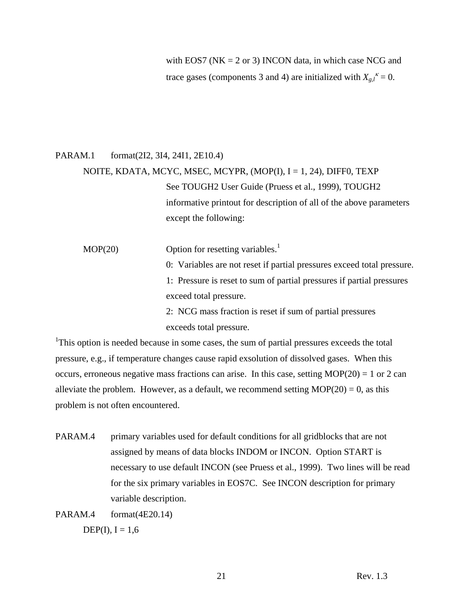with EOS7 ( $NK = 2$  or 3) INCON data, in which case NCG and trace gases (components 3 and 4) are initialized with  $X_{g,l}^{\alpha} = 0$ .

# PARAM.1 format(2I2, 3I4, 24I1, 2E10.4) NOITE, KDATA, MCYC, MSEC, MCYPR, (MOP(I), I = 1, 24), DIFF0, TEXP See TOUGH2 User Guide (Pruess et al., 1999), TOUGH2 informative printout for description of all of the above parameters except the following:

 $MOP(20)$  Option for resetting variables.<sup>1</sup> 0: Variables are not reset if partial pressures exceed total pressure. 1: Pressure is reset to sum of partial pressures if partial pressures exceed total pressure. 2: NCG mass fraction is reset if sum of partial pressures exceeds total pressure.

<sup>1</sup>This option is needed because in some cases, the sum of partial pressures exceeds the total pressure, e.g., if temperature changes cause rapid exsolution of dissolved gases. When this occurs, erroneous negative mass fractions can arise. In this case, setting  $MOP(20) = 1$  or 2 can alleviate the problem. However, as a default, we recommend setting  $MOP(20) = 0$ , as this problem is not often encountered.

PARAM.4 primary variables used for default conditions for all gridblocks that are not assigned by means of data blocks INDOM or INCON. Option START is necessary to use default INCON (see Pruess et al., 1999). Two lines will be read for the six primary variables in EOS7C. See INCON description for primary variable description.

PARAM.4 format(4E20.14)

DEP(I),  $I = 1,6$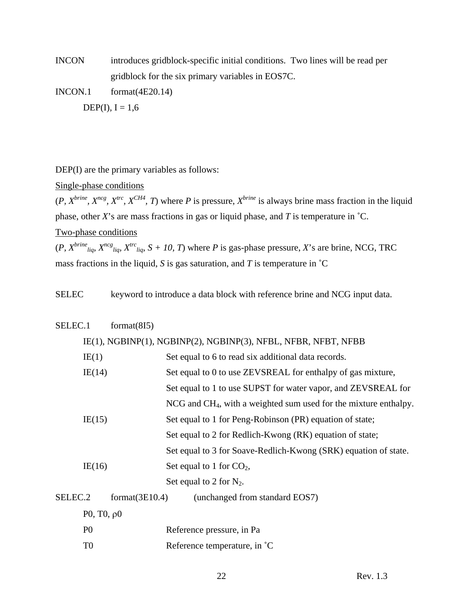INCON introduces gridblock-specific initial conditions. Two lines will be read per gridblock for the six primary variables in EOS7C.

 $INCON.1$  format $(4E20.14)$ 

 $DEP(I), I = 1,6$ 

DEP(I) are the primary variables as follows:

#### Single-phase conditions

 $(P, X^{brine}, X^{ncg}, X^{trc}, X^{CH4}, T)$  where *P* is pressure,  $X^{brine}$  is always brine mass fraction in the liquid phase, other *X*'s are mass fractions in gas or liquid phase, and *T* is temperature in ˚C.

#### Two-phase conditions

 $(P, X^{brine}_{liq}, X^{ncg}_{liq}, X^{trc}_{liq}, S + 10, T)$  where *P* is gas-phase pressure, *X*'s are brine, NCG, TRC mass fractions in the liquid,  $S$  is gas saturation, and  $T$  is temperature in  ${}^{\circ}C$ 

SELEC keyword to introduce a data block with reference brine and NCG input data.

| SELEC.1                                               | format(8I5)    |                                                                               |
|-------------------------------------------------------|----------------|-------------------------------------------------------------------------------|
|                                                       |                | $IE(1)$ , NGBINP $(1)$ , NGBINP $(2)$ , NGBINP $(3)$ , NFBL, NFBR, NFBT, NFBB |
| IE(1)                                                 |                | Set equal to 6 to read six additional data records.                           |
| IE(14)                                                |                | Set equal to 0 to use ZEVSREAL for enthalpy of gas mixture,                   |
|                                                       |                | Set equal to 1 to use SUPST for water vapor, and ZEVSREAL for                 |
|                                                       |                | NCG and $CH_4$ , with a weighted sum used for the mixture enthalpy.           |
| IE(15)                                                |                | Set equal to 1 for Peng-Robinson (PR) equation of state;                      |
|                                                       |                | Set equal to 2 for Redlich-Kwong (RK) equation of state;                      |
|                                                       |                | Set equal to 3 for Soave-Redlich-Kwong (SRK) equation of state.               |
| IE(16)                                                |                | Set equal to 1 for $CO2$ ,                                                    |
|                                                       |                | Set equal to 2 for $N_2$ .                                                    |
| SELEC.2                                               | format(3E10.4) | (unchanged from standard EOS7)                                                |
| P <sub>0</sub> , T <sub>0</sub> , $\rho$ <sub>0</sub> |                |                                                                               |
| P <sub>0</sub>                                        |                | Reference pressure, in Pa                                                     |
| T <sub>0</sub>                                        |                | Reference temperature, in °C                                                  |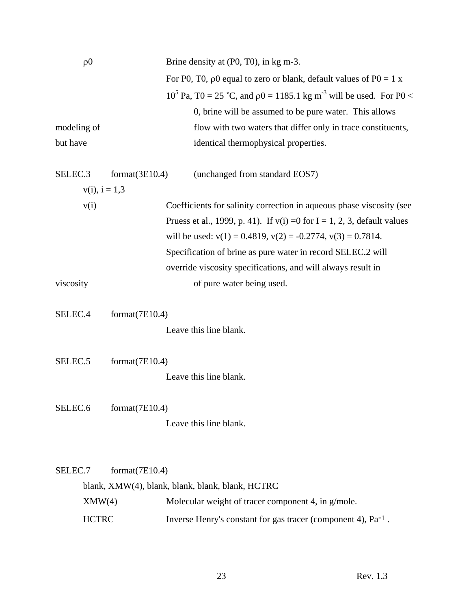| $\rho 0$            |                | Brine density at (P0, T0), in kg m-3.                                                  |
|---------------------|----------------|----------------------------------------------------------------------------------------|
|                     |                | For P0, T0, $\rho$ 0 equal to zero or blank, default values of P0 = 1 x                |
|                     |                | $10^5$ Pa, T0 = 25 °C, and $\rho$ 0 = 1185.1 kg m <sup>-3</sup> will be used. For P0 < |
|                     |                | 0, brine will be assumed to be pure water. This allows                                 |
| modeling of         |                | flow with two waters that differ only in trace constituents,                           |
| but have            |                | identical thermophysical properties.                                                   |
| SELEC.3             | format(3E10.4) | (unchanged from standard EOS7)                                                         |
| $v(i), i = 1,3$     |                |                                                                                        |
| v(i)                |                | Coefficients for salinity correction in aqueous phase viscosity (see                   |
|                     |                | Pruess et al., 1999, p. 41). If $v(i) = 0$ for $I = 1, 2, 3$ , default values          |
|                     |                | will be used: $v(1) = 0.4819$ , $v(2) = -0.2774$ , $v(3) = 0.7814$ .                   |
|                     |                | Specification of brine as pure water in record SELEC.2 will                            |
|                     |                | override viscosity specifications, and will always result in                           |
| viscosity           |                | of pure water being used.                                                              |
| SELEC.4             | format(7E10.4) |                                                                                        |
|                     |                | Leave this line blank.                                                                 |
| SELEC <sub>.5</sub> | format(7E10.4) |                                                                                        |
|                     |                | Leave this line blank.                                                                 |
| SELEC.6             | format(7E10.4) |                                                                                        |
|                     |                | Leave this line blank.                                                                 |
|                     |                |                                                                                        |
| SELEC.7             | format(7E10.4) |                                                                                        |
|                     |                | blank, XMW(4), blank, blank, blank, blank, HCTRC                                       |
| XMW(4)              |                | Molecular weight of tracer component 4, in g/mole.                                     |
| <b>HCTRC</b>        |                | Inverse Henry's constant for gas tracer (component 4), Pa <sup>-1</sup> .              |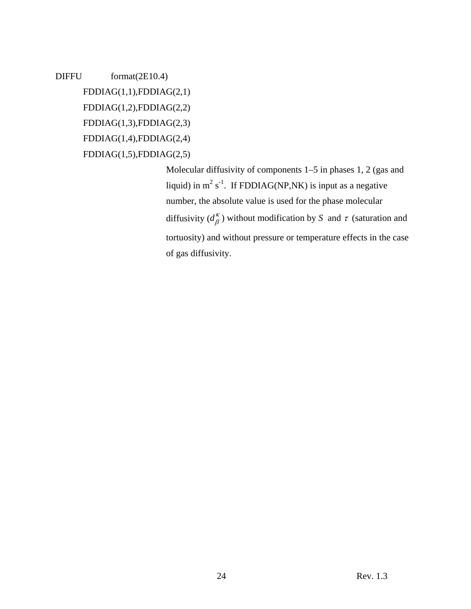```
DIFFU format(2E10.4)
       FDDIAG(1,1),FDDIAG(2,1) 
       FDDIAG(1,2),FDDIAG(2,2) 
      FDDIAG(1,3), FDDIAG(2,3) FDDIAG(1,4),FDDIAG(2,4) 
       FDDIAG(1,5),FDDIAG(2,5)
```
 Molecular diffusivity of components 1–5 in phases 1, 2 (gas and liquid) in  $m^2 s^{-1}$ . If FDDIAG(NP,NK) is input as a negative number, the absolute value is used for the phase molecular diffusivity  $(d_{\beta}^{\kappa})$  without modification by *S* and  $\tau$  (saturation and tortuosity) and without pressure or temperature effects in the case of gas diffusivity.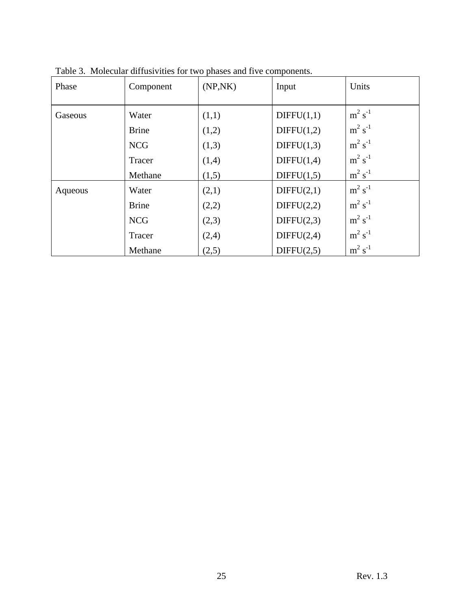| Phase   | Component    | (NP,NK) | Input      | Units                 |
|---------|--------------|---------|------------|-----------------------|
| Gaseous | Water        | (1,1)   | DIFFU(1,1) | $m^2 s^{-1}$          |
|         | <b>Brine</b> | (1,2)   | DIFFU(1,2) | $m^2$ s <sup>-1</sup> |
|         | <b>NCG</b>   | (1,3)   | DIFFU(1,3) | $m^2 s^{-1}$          |
|         | Tracer       | (1,4)   | DIFFU(1,4) | $m^2$ s <sup>-1</sup> |
|         | Methane      | (1,5)   | DIFFU(1,5) | $m^2$ s <sup>-1</sup> |
| Aqueous | Water        | (2,1)   | DIFFU(2,1) | $m^2$ s <sup>-1</sup> |
|         | <b>Brine</b> | (2,2)   | DIFFU(2,2) | $m^2$ s <sup>-1</sup> |
|         | <b>NCG</b>   | (2,3)   | DIFFU(2,3) | $m^2$ s <sup>-1</sup> |
|         | Tracer       | (2,4)   | DIFFU(2,4) | $m^2$ s <sup>-1</sup> |
|         | Methane      | (2,5)   | DIFFU(2,5) | $m^2$ s <sup>-1</sup> |

Table 3. Molecular diffusivities for two phases and five components.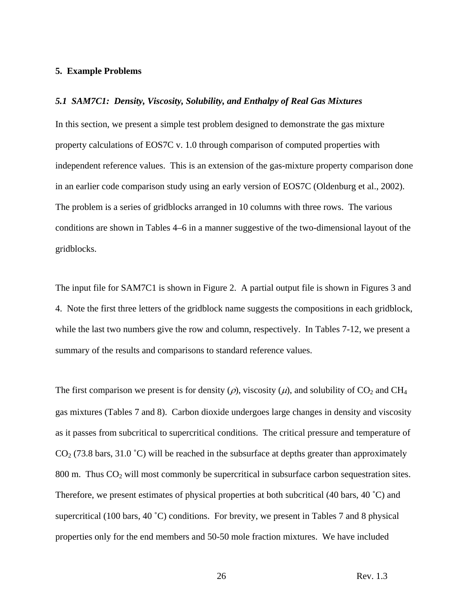#### **5. Example Problems**

#### *5.1 SAM7C1: Density, Viscosity, Solubility, and Enthalpy of Real Gas Mixtures*

In this section, we present a simple test problem designed to demonstrate the gas mixture property calculations of EOS7C v. 1.0 through comparison of computed properties with independent reference values. This is an extension of the gas-mixture property comparison done in an earlier code comparison study using an early version of EOS7C (Oldenburg et al., 2002). The problem is a series of gridblocks arranged in 10 columns with three rows. The various conditions are shown in Tables 4–6 in a manner suggestive of the two-dimensional layout of the gridblocks.

The input file for SAM7C1 is shown in Figure 2. A partial output file is shown in Figures 3 and 4. Note the first three letters of the gridblock name suggests the compositions in each gridblock, while the last two numbers give the row and column, respectively. In Tables 7-12, we present a summary of the results and comparisons to standard reference values.

The first comparison we present is for density ( $\rho$ ), viscosity ( $\mu$ ), and solubility of CO<sub>2</sub> and CH<sub>4</sub> gas mixtures (Tables 7 and 8). Carbon dioxide undergoes large changes in density and viscosity as it passes from subcritical to supercritical conditions. The critical pressure and temperature of  $CO<sub>2</sub>$  (73.8 bars, 31.0 °C) will be reached in the subsurface at depths greater than approximately 800 m. Thus  $CO<sub>2</sub>$  will most commonly be supercritical in subsurface carbon sequestration sites. Therefore, we present estimates of physical properties at both subcritical (40 bars, 40 ˚C) and supercritical (100 bars, 40 °C) conditions. For brevity, we present in Tables 7 and 8 physical properties only for the end members and 50-50 mole fraction mixtures. We have included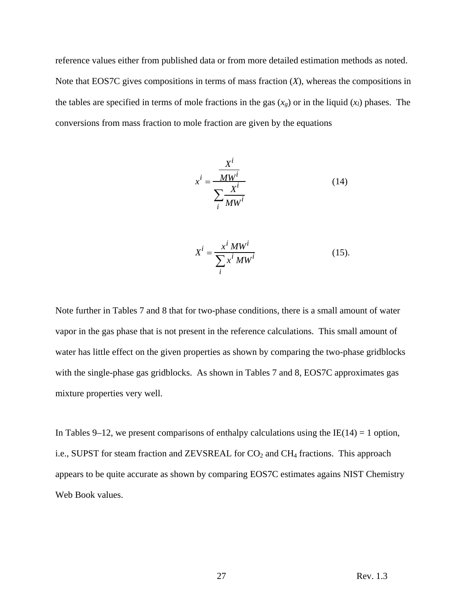reference values either from published data or from more detailed estimation methods as noted. Note that EOS7C gives compositions in terms of mass fraction (*X*), whereas the compositions in the tables are specified in terms of mole fractions in the gas  $(x_g)$  or in the liquid  $(x_l)$  phases. The conversions from mass fraction to mole fraction are given by the equations

$$
x^{i} = \frac{\frac{X^{i}}{MW^{i}}}{\sum_{i} \frac{X^{i}}{MW^{i}}}
$$
 (14)

$$
X^{i} = \frac{x^{i} M W^{i}}{\sum_{i} x^{i} M W^{i}}
$$
 (15).

Note further in Tables 7 and 8 that for two-phase conditions, there is a small amount of water vapor in the gas phase that is not present in the reference calculations. This small amount of water has little effect on the given properties as shown by comparing the two-phase gridblocks with the single-phase gas gridblocks. As shown in Tables 7 and 8, EOS7C approximates gas mixture properties very well.

In Tables 9–12, we present comparisons of enthalpy calculations using the IE(14) = 1 option, i.e., SUPST for steam fraction and ZEVSREAL for  $CO<sub>2</sub>$  and  $CH<sub>4</sub>$  fractions. This approach appears to be quite accurate as shown by comparing EOS7C estimates agains NIST Chemistry Web Book values.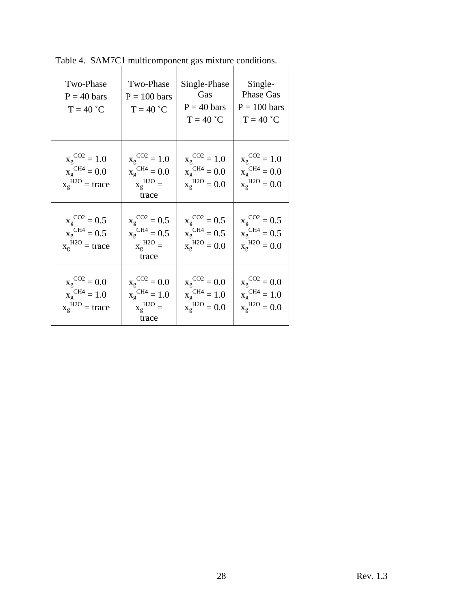| Two-Phase<br>$P = 40$ bars<br>$T = 40 °C$                                                 | Two-Phase<br>$P = 100$ bars<br>$T = 40 °C$                                              | Single-Phase<br>Gas<br>$P = 40$ bars<br>$T = 40 °C$                              | Single-<br>Phase Gas<br>$P = 100$ bars<br>$T = 40 °C$                            |
|-------------------------------------------------------------------------------------------|-----------------------------------------------------------------------------------------|----------------------------------------------------------------------------------|----------------------------------------------------------------------------------|
| $x_g^{\text{CO2}} = 1.0$<br>$x_g^{\text{CH4}} = 0.0$<br>$x_g^{\text{H2O}} = \text{trace}$ | $x_g^{\text{CO2}} = 1.0$<br>$x_g^{\text{CH4}} = 0.0$<br>$X_g^{\text{H2O}} =$<br>trace   | $x_g^{\text{CO2}} = 1.0$<br>$x_g^{\text{CH4}} = 0.0$<br>$x_g^{\text{H2O}} = 0.0$ | $x_g^{\text{CO2}} = 1.0$<br>$x_g^{\text{CH4}} = 0.0$<br>$x_g^{\text{H2O}} = 0.0$ |
| $x_g^{\text{CO2}} = 0.5$<br>$x_g^{\text{CH4}} = 0.5$<br>$x_g^{\text{H2O}} = \text{trace}$ | $x_g^{\text{CO2}} = 0.5$<br>$x_g^{\text{CH4}} = 0.5$<br>$x_g^{\text{H2O}} =$<br>trace   | $x_g^{\text{CO2}} = 0.5$<br>$x_g^{\text{CH4}} = 0.5$<br>$x_g^{\text{H2O}} = 0.0$ | $x_g^{\text{CO2}} = 0.5$<br>$x_g^{\text{CH4}}=0.5$<br>$x_g^{\text{H2O}} = 0.0$   |
| $x_g^{\text{CO2}} = 0.0$<br>$x_g^{\rm CH4}=1.0$<br>$x_g^{\text{H2O}} = \text{trace}$      | $x_g^{\text{CO2}} = 0.0$<br>$x_g^{\text{CH4}} = 1.0$<br>$X_g$ <sup>H2O</sup> =<br>trace | $x_g^{\text{CO2}} = 0.0$<br>$x_g^{\text{CH4}} = 1.0$<br>$x_g^{\text{H2O}} = 0.0$ | $x_g^{\text{CO2}} = 0.0$<br>$x_g^{\rm CH4}=1.0$<br>$x_g^{\text{H2O}} = 0.0$      |

Table 4. SAM7C1 multicomponent gas mixture conditions.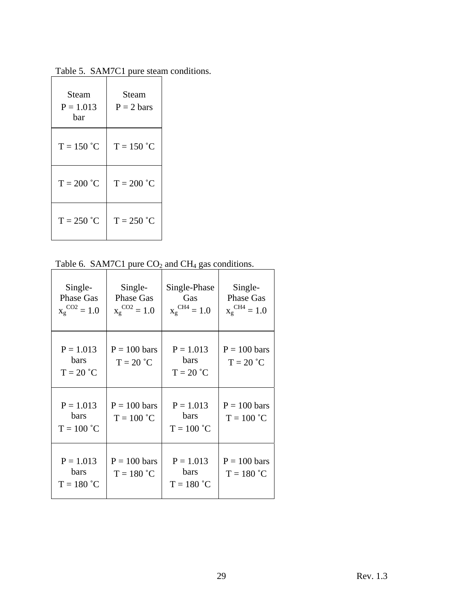Table 5. SAM7C1 pure steam conditions.

| Steam<br>$P = 1.013$<br>har | Steam<br>$P = 2$ bars |
|-----------------------------|-----------------------|
| $T = 150 °C$                | $T = 150 °C$          |
| $T = 200 °C$                | $T = 200 °C$          |
| $T = 250 °C$                | $T = 250 °C$          |

Table 6. SAM7C1 pure  $CO_2$  and CH<sub>4</sub> gas conditions.

| Single-<br><b>Phase Gas</b><br>$x_g^{\text{CO2}} = 1.0$ | Single-<br><b>Phase Gas</b><br>$x_g^{\text{CO2}} = 1.0$ | Single-Phase<br>Gas<br>$x_g^{\text{CH4}} = 1.0$ | Single-<br><b>Phase Gas</b><br>$x_{\rm g}^{\rm CH4} = 1.0$ |
|---------------------------------------------------------|---------------------------------------------------------|-------------------------------------------------|------------------------------------------------------------|
| $P = 1.013$<br>bars<br>$T = 20 °C$                      | $P = 100$ bars<br>$T = 20 °C$                           | $P = 1.013$<br>bars<br>$T = 20 °C$              | $P = 100$ bars<br>$T = 20 °C$                              |
| $P = 1.013$<br>bars<br>$T = 100 °C$                     | $P = 100$ bars<br>$T = 100 °C$                          | $P = 1.013$<br>bars<br>$T = 100 °C$             | $P = 100$ bars<br>$T = 100 °C$                             |
| $P = 1.013$<br>bars<br>$T = 180 °C$                     | $P = 100$ bars<br>$T = 180 °C$                          | $P = 1.013$<br>bars<br>$T = 180 °C$             | $P = 100$ bars<br>$T = 180 °C$                             |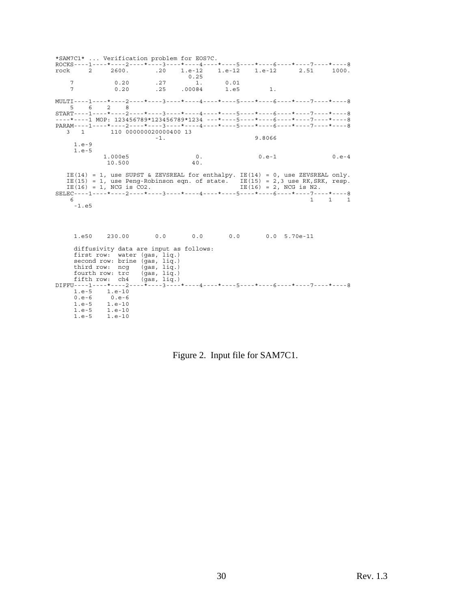| *SAM7C1*  Verification problem for EOS7C.                                                                                                                           |                                                                                                                                                                                                   |                                           |                  |          |          |                                |                              |
|---------------------------------------------------------------------------------------------------------------------------------------------------------------------|---------------------------------------------------------------------------------------------------------------------------------------------------------------------------------------------------|-------------------------------------------|------------------|----------|----------|--------------------------------|------------------------------|
| ROCKS----1----*----2----*----3----*----4----*----5----*----6----*----7----*----8                                                                                    |                                                                                                                                                                                                   |                                           |                  |          |          |                                |                              |
| rock<br>$\overline{2}$                                                                                                                                              | 2600.                                                                                                                                                                                             | .20                                       | $1.e-12$<br>0.25 | $1.e-12$ | $1.e-12$ | 2.51                           | 1000.                        |
| 7                                                                                                                                                                   | 0.20                                                                                                                                                                                              | .27                                       | $1$ .            | 0.01     |          |                                |                              |
| 7                                                                                                                                                                   | 0.20                                                                                                                                                                                              | .25                                       | .00084           | 1.e5     | 1.       |                                |                              |
|                                                                                                                                                                     |                                                                                                                                                                                                   |                                           |                  |          |          |                                |                              |
| MULTI----1----*----2----*----3----*----4----*----5----*----6----*----7----*----8                                                                                    |                                                                                                                                                                                                   |                                           |                  |          |          |                                |                              |
| 5<br>$6 \overline{6}$                                                                                                                                               | $\mathsf{R}$<br>2                                                                                                                                                                                 |                                           |                  |          |          |                                |                              |
| $STRRT---1---+---2---+---3---+---4-------+---5---+---6---+---7---7---+---8$                                                                                         |                                                                                                                                                                                                   |                                           |                  |          |          |                                |                              |
| ----*----1 MOP: 123456789*123456789*1234 ---*----5----*----6----*----7----*-----8                                                                                   |                                                                                                                                                                                                   |                                           |                  |          |          |                                |                              |
| PARAM----1----*----2----*----3----*----4----*----5----*----6----*----7----*----8                                                                                    |                                                                                                                                                                                                   |                                           |                  |          |          |                                |                              |
| 3<br>$\mathbf{1}$                                                                                                                                                   | 110 000000020000400 13                                                                                                                                                                            |                                           |                  |          |          |                                |                              |
|                                                                                                                                                                     |                                                                                                                                                                                                   | $-1$ .                                    |                  |          | 9.8066   |                                |                              |
| $1.e-9$                                                                                                                                                             |                                                                                                                                                                                                   |                                           |                  |          |          |                                |                              |
| $1.e-5$                                                                                                                                                             |                                                                                                                                                                                                   |                                           |                  |          |          |                                |                              |
|                                                                                                                                                                     | 1.000e5                                                                                                                                                                                           |                                           | 0.               |          | $0.e-1$  |                                | $0.e-4$                      |
|                                                                                                                                                                     | 10.500                                                                                                                                                                                            |                                           | 40.              |          |          |                                |                              |
|                                                                                                                                                                     |                                                                                                                                                                                                   |                                           |                  |          |          |                                |                              |
| SELEC----1----*----2----*----3----*----4----*----5----*----6----*----7----*----8<br>6                                                                               | IE(14) = 1, use SUPST & ZEVSREAL for enthalpy. IE(14) = 0, use ZEVSREAL only.<br>IE(15) = 1, use Peng-Robinson eqn. of state. IE(15) = 2,3 use RK, SRK, resp.<br>$IE(16) = 1$ , NCG is CO2.       |                                           |                  |          |          | $IE(16) = 2$ , NCG is N2.<br>1 | $\mathbf{1}$<br>$\mathbf{1}$ |
| $-1. e5$                                                                                                                                                            |                                                                                                                                                                                                   |                                           |                  |          |          |                                |                              |
| 1.e50                                                                                                                                                               | 230.00                                                                                                                                                                                            | 0.0                                       | 0.0              | 0.0      |          | $0.0 5.70e-11$                 |                              |
| third row:<br>fifth row:<br>DIFFU----1----*----2----*----3----*----4----*----5----*----6----*----7----*----8<br>$1.e-5$<br>$0.e-6$<br>$1.e-5$<br>$1.e-5$<br>$1.e-5$ | diffusivity data are input as follows:<br>first row: water (gas, liq.)<br>second row: brine (gas, liq.)<br>ncq<br>fourth row: trc<br>ch4<br>$1.e-10$<br>0.e-6<br>$1.e-10$<br>$1.e-10$<br>$1.e-10$ | (qas, liq.)<br>(qas, liq.)<br>(gas, lig.) |                  |          |          |                                |                              |

Figure 2. Input file for SAM7C1.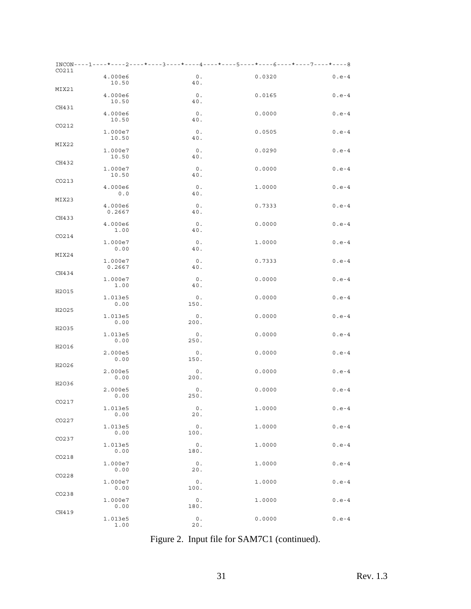|       |                   |                  | INCON----1----*----2----*----3----*----4----*----5----*----6----*----7----*----8 |         |
|-------|-------------------|------------------|----------------------------------------------------------------------------------|---------|
| CO211 | 4.000e6<br>10.50  | 0.<br>40.        | 0.0320                                                                           | $0.e-4$ |
| MIX21 | 4.000e6<br>10.50  | $\circ$ .<br>40. | 0.0165                                                                           | $0.e-4$ |
| CH431 | 4.000e6<br>10.50  | $\circ$ .<br>40. | 0.0000                                                                           | $0.e-4$ |
| CO212 | 1.000e7<br>10.50  | $\circ$ .<br>40. | 0.0505                                                                           | $0.e-4$ |
| MIX22 | 1.000e7<br>10.50  | $\circ$ .<br>40. | 0.0290                                                                           | $0.e-4$ |
| CH432 | 1.000e7<br>10.50  | 0.<br>40.        | 0.0000                                                                           | $0.e-4$ |
| CO213 | 4.000e6<br>0.0    | $\circ$ .<br>40. | 1.0000                                                                           | $0.e-4$ |
| MIX23 | 4.000e6           | $\circ$ .        | 0.7333                                                                           | $0.e-4$ |
| CH433 | 0.2667            | 40.              |                                                                                  |         |
| CO214 | 4.000e6<br>1.00   | $\circ$ .<br>40. | 0.0000                                                                           | $0.e-4$ |
|       | 1.000e7<br>0.00   | $\circ$ .<br>40. | 1.0000                                                                           | $0.e-4$ |
| MIX24 | 1.000e7<br>0.2667 | 0.<br>40.        | 0.7333                                                                           | $0.e-4$ |
| CH434 | 1.000e7           | $\circ$ .        | 0.0000                                                                           | $0.e-4$ |
| H2O15 | 1.00              | 40.              |                                                                                  |         |
|       | 1.013e5<br>0.00   | 0.<br>150.       | 0.0000                                                                           | $0.e-4$ |
| H2O25 | 1.013e5<br>0.00   | 0.<br>200.       | 0.0000                                                                           | $0.e-4$ |
| H2O35 |                   |                  | 0.0000                                                                           | $0.e-4$ |
| H2O16 | 1.013e5<br>0.00   | 0.<br>250.       |                                                                                  |         |
|       | 2.000e5<br>0.00   | 0.<br>150.       | 0.0000                                                                           | $0.e-4$ |
| H2O26 | 2.000e5<br>0.00   | 0.<br>200.       | 0.0000                                                                           | $0.e-4$ |
| H2O36 | 2.000e5           | 0.               | 0.0000                                                                           | $0.e-4$ |
| CO217 | 0.00<br>1.013e5   | 250.<br>$0$ .    | 1.0000                                                                           | $0.e-4$ |
| CO227 | 0.00              | 20.              |                                                                                  |         |
|       | 1.013e5<br>0.00   | 0.<br>100.       | 1.0000                                                                           | $0.e-4$ |
| CO237 | 1.013e5           | 0.               | 1.0000                                                                           | $0.e-4$ |
|       | 0.00              | 180.             |                                                                                  |         |
| CO218 | 1.000e7<br>0.00   | 0.<br>20.        | 1.0000                                                                           | $0.e-4$ |
| CO228 | 1.000e7           | 0.               | 1.0000                                                                           | $0.e-4$ |
| CO238 | 0.00              | 100.             |                                                                                  |         |
|       | 1.000e7<br>0.00   | 0.<br>180.       | 1.0000                                                                           | $0.e-4$ |
| CH419 | 1.013e5<br>1.00   | 0.<br>20.        | 0.0000                                                                           | $0.e-4$ |
|       |                   |                  |                                                                                  |         |

Figure 2. Input file for SAM7C1 (continued).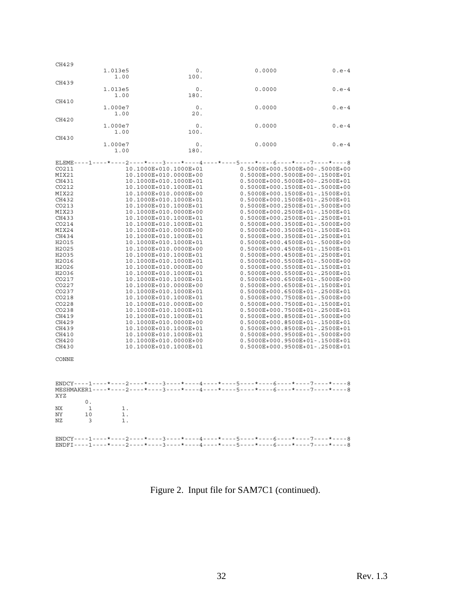| CH429                           |         |                       |                                                                                  |                                  |
|---------------------------------|---------|-----------------------|----------------------------------------------------------------------------------|----------------------------------|
|                                 | 1.013e5 | 0.                    | 0.0000                                                                           | $0.e-4$                          |
|                                 | 1.00    | 100.                  |                                                                                  |                                  |
| CH439                           |         |                       |                                                                                  |                                  |
|                                 | 1.013e5 | 0.                    | 0.0000                                                                           | $0.e-4$                          |
|                                 |         |                       |                                                                                  |                                  |
|                                 | 1.00    | 180.                  |                                                                                  |                                  |
| CH410                           |         |                       |                                                                                  |                                  |
|                                 | 1.000e7 | 0.                    | 0.0000                                                                           | $0.e-4$                          |
|                                 | 1.00    | 20.                   |                                                                                  |                                  |
| CH420                           |         |                       |                                                                                  |                                  |
|                                 | 1.000e7 | 0.                    | 0.0000                                                                           | $0.e-4$                          |
|                                 | 1.00    | 100.                  |                                                                                  |                                  |
| CH430                           |         |                       |                                                                                  |                                  |
|                                 | 1.000e7 | 0.                    | 0.0000                                                                           | $0.e-4$                          |
|                                 |         | 180.                  |                                                                                  |                                  |
|                                 | 1.00    |                       |                                                                                  |                                  |
|                                 |         |                       |                                                                                  |                                  |
|                                 |         |                       | ELEME----1----*----2----*----3----*----4----*----5----*----6----*----7----*----8 |                                  |
| CO211                           |         | 10.1000E+010.1000E+01 |                                                                                  | $0.5000E+000.5000E+00-.5000E+00$ |
| MIX21                           |         | 10.1000E+010.0000E+00 |                                                                                  | $0.5000E+000.5000E+00-.1500E+01$ |
| CH431                           |         | 10.1000E+010.1000E+01 |                                                                                  | $0.5000E+000.5000E+00-.2500E+01$ |
| CO212                           |         | 10.1000E+010.1000E+01 |                                                                                  | $0.5000E+000.1500E+01-.5000E+00$ |
| MIX22                           |         | 10.1000E+010.0000E+00 |                                                                                  | $0.5000E+000.1500E+01-.1500E+01$ |
|                                 |         | 10.1000E+010.1000E+01 |                                                                                  | 0.5000E+000.1500E+01-.2500E+01   |
| CH432                           |         |                       |                                                                                  |                                  |
| CO213                           |         | 10.1000E+010.1000E+01 |                                                                                  | $0.5000E+000.2500E+01-.5000E+00$ |
| MIX23                           |         | 10.1000E+010.0000E+00 |                                                                                  | $0.5000E+000.2500E+01-.1500E+01$ |
| CH433                           |         | 10.1000E+010.1000E+01 |                                                                                  | $0.5000E+000.2500E+01-.2500E+01$ |
| CO214                           |         | 10.1000E+010.1000E+01 |                                                                                  | $0.5000E+000.3500E+01-.5000E+00$ |
| MIX24                           |         | 10.1000E+010.0000E+00 |                                                                                  | $0.5000E+000.3500E+01-.1500E+01$ |
| CH434                           |         | 10.1000E+010.1000E+01 |                                                                                  | $0.5000E+000.3500E+01-.2500E+01$ |
| H2O15                           |         | 10.1000E+010.1000E+01 |                                                                                  | $0.5000E+000.4500E+01-.5000E+00$ |
| H <sub>2</sub> O <sub>2</sub> 5 |         | 10.1000E+010.0000E+00 |                                                                                  | $0.5000E+000.4500E+01-.1500E+01$ |
|                                 |         |                       |                                                                                  |                                  |
| H <sub>2</sub> O <sub>3</sub> 5 |         | 10.1000E+010.1000E+01 |                                                                                  | $0.5000E+000.4500E+01-.2500E+01$ |
| H2O16                           |         | 10.1000E+010.1000E+01 |                                                                                  | $0.5000E+000.5500E+01-.5000E+00$ |
| H2O26                           |         | 10.1000E+010.0000E+00 |                                                                                  | $0.5000E+000.5500E+01-.1500E+01$ |
| H <sub>2</sub> O <sub>3</sub> 6 |         | 10.1000E+010.1000E+01 |                                                                                  | $0.5000E+000.5500E+01-.2500E+01$ |
| CO217                           |         | 10.1000E+010.1000E+01 |                                                                                  | $0.5000E+000.6500E+01-.5000E+00$ |
| CO227                           |         | 10.1000E+010.0000E+00 |                                                                                  | $0.5000E+000.6500E+01-.1500E+01$ |
| CO237                           |         | 10.1000E+010.1000E+01 |                                                                                  | 0.5000E+000.6500E+01-.2500E+01   |
| CO218                           |         | 10.1000E+010.1000E+01 |                                                                                  | $0.5000E+000.7500E+01-.5000E+00$ |
|                                 |         |                       |                                                                                  |                                  |
| CO228                           |         | 10.1000E+010.0000E+00 |                                                                                  | $0.5000E+000.7500E+01-.1500E+01$ |
| CO238                           |         | 10.1000E+010.1000E+01 |                                                                                  | 0.5000E+000.7500E+01-.2500E+01   |
| CH419                           |         | 10.1000E+010.1000E+01 |                                                                                  | $0.5000E+000.8500E+01-.5000E+00$ |
| CH429                           |         | 10.1000E+010.0000E+00 |                                                                                  | $0.5000E+000.8500E+01-.1500E+01$ |
| CH439                           |         | 10.1000E+010.1000E+01 |                                                                                  | $0.5000E+000.8500E+01-.2500E+01$ |
| CH410                           |         | 10.1000E+010.1000E+01 |                                                                                  | $0.5000E+000.9500E+01-.5000E+00$ |
| CH420                           |         | 10.1000E+010.0000E+00 |                                                                                  | $0.5000E+000.9500E+01-.1500E+01$ |
| CH430                           |         | 10.1000E+010.1000E+01 |                                                                                  | $0.5000E+000.9500E+01-.2500E+01$ |
|                                 |         |                       |                                                                                  |                                  |
|                                 |         |                       |                                                                                  |                                  |
| CONNE                           |         |                       |                                                                                  |                                  |
|                                 |         |                       |                                                                                  |                                  |
|                                 |         |                       |                                                                                  |                                  |
|                                 |         |                       |                                                                                  |                                  |
|                                 |         |                       | ENDCY----1----*----2----*----3----*----4----*----5----*----6----*----7----*----8 |                                  |
|                                 |         |                       | MESHMAKER1----*----2----*----3----*----4----*----5----*----6----*----7----*----8 |                                  |
| XYZ                             |         |                       |                                                                                  |                                  |
| 0.                              |         |                       |                                                                                  |                                  |
|                                 |         |                       |                                                                                  |                                  |
| ΝX<br>1                         | 1.      |                       |                                                                                  |                                  |
| ΝY<br>10                        | 1.      |                       |                                                                                  |                                  |
| NZ<br>3                         | $1$ .   |                       |                                                                                  |                                  |
|                                 |         |                       |                                                                                  |                                  |
|                                 |         |                       |                                                                                  |                                  |
|                                 |         |                       | ENDCY----1----*----2----*----3----*----4----*----5----*----6----*----7----*----8 |                                  |
|                                 |         |                       | ENDFI----1----*----2----*----3----*----4----*----5----*----6----*----7----*----8 |                                  |

Figure 2. Input file for SAM7C1 (continued).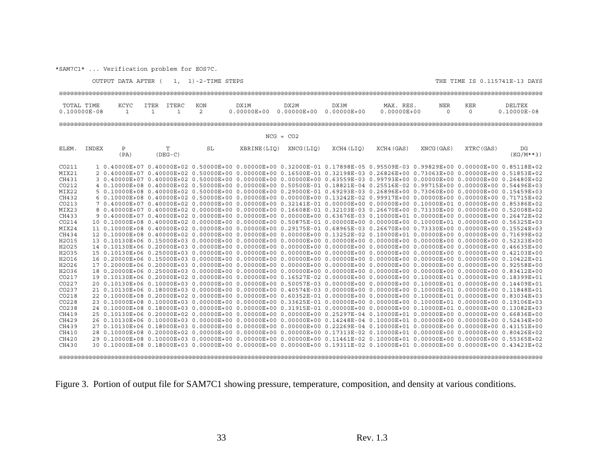\*SAM7C1\* ... Verification problem for EOS7C.

#### OUTPUT DATA AFTER ( 1, 1)-2-TIME STEPS THE TIME IS 0.115741E-13 DAYS

| TOTAL TIME<br>KCYC<br>$\mathbf{1}$<br>$0.100000E - 08$                                                                                                                                                                                                                                                                                                                                                                                                                                                                                                                                                                                                                                                                                                                                                                                                                                                                                                                                                                                                                                                                                                                                                                                                                                                                                                                                                                        | ITER<br>ITERC<br>$\mathbf{1}$<br>$\mathbf{1}$                                                                                                                                                                                                                                                                                                                                                                                        | KON<br>2                                                                                                                                                                                                                                                                                                                                                                                                                                                                                                                                                                               | DX1M<br>$0.00000E + 00$ | DX2M<br>$0.00000E + 00$                                                                                                                                                                                                                                                                                                                                                                                                     | DX3M<br>$0.00000E + 00$ | MAX. RES.<br>$0.00000E + 00$                                                                                                                                                                                                                                                                                                                                                                                                                                                                                                                                                                                                                                                                                                                                                                                                                                                                                                                                                                                                                                                                                                                                                                                                                                                                                                                                                                                                                                                                                                                                                                                                                | NER<br>$\Omega$ | <b>KER</b><br>$\Omega$                             | DELTEX<br>$0.10000E - 08$                                               |  |  |  |  |
|-------------------------------------------------------------------------------------------------------------------------------------------------------------------------------------------------------------------------------------------------------------------------------------------------------------------------------------------------------------------------------------------------------------------------------------------------------------------------------------------------------------------------------------------------------------------------------------------------------------------------------------------------------------------------------------------------------------------------------------------------------------------------------------------------------------------------------------------------------------------------------------------------------------------------------------------------------------------------------------------------------------------------------------------------------------------------------------------------------------------------------------------------------------------------------------------------------------------------------------------------------------------------------------------------------------------------------------------------------------------------------------------------------------------------------|--------------------------------------------------------------------------------------------------------------------------------------------------------------------------------------------------------------------------------------------------------------------------------------------------------------------------------------------------------------------------------------------------------------------------------------|----------------------------------------------------------------------------------------------------------------------------------------------------------------------------------------------------------------------------------------------------------------------------------------------------------------------------------------------------------------------------------------------------------------------------------------------------------------------------------------------------------------------------------------------------------------------------------------|-------------------------|-----------------------------------------------------------------------------------------------------------------------------------------------------------------------------------------------------------------------------------------------------------------------------------------------------------------------------------------------------------------------------------------------------------------------------|-------------------------|---------------------------------------------------------------------------------------------------------------------------------------------------------------------------------------------------------------------------------------------------------------------------------------------------------------------------------------------------------------------------------------------------------------------------------------------------------------------------------------------------------------------------------------------------------------------------------------------------------------------------------------------------------------------------------------------------------------------------------------------------------------------------------------------------------------------------------------------------------------------------------------------------------------------------------------------------------------------------------------------------------------------------------------------------------------------------------------------------------------------------------------------------------------------------------------------------------------------------------------------------------------------------------------------------------------------------------------------------------------------------------------------------------------------------------------------------------------------------------------------------------------------------------------------------------------------------------------------------------------------------------------------|-----------------|----------------------------------------------------|-------------------------------------------------------------------------|--|--|--|--|
|                                                                                                                                                                                                                                                                                                                                                                                                                                                                                                                                                                                                                                                                                                                                                                                                                                                                                                                                                                                                                                                                                                                                                                                                                                                                                                                                                                                                                               |                                                                                                                                                                                                                                                                                                                                                                                                                                      |                                                                                                                                                                                                                                                                                                                                                                                                                                                                                                                                                                                        |                         |                                                                                                                                                                                                                                                                                                                                                                                                                             |                         |                                                                                                                                                                                                                                                                                                                                                                                                                                                                                                                                                                                                                                                                                                                                                                                                                                                                                                                                                                                                                                                                                                                                                                                                                                                                                                                                                                                                                                                                                                                                                                                                                                             |                 |                                                    |                                                                         |  |  |  |  |
| $NCG = CO2$                                                                                                                                                                                                                                                                                                                                                                                                                                                                                                                                                                                                                                                                                                                                                                                                                                                                                                                                                                                                                                                                                                                                                                                                                                                                                                                                                                                                                   |                                                                                                                                                                                                                                                                                                                                                                                                                                      |                                                                                                                                                                                                                                                                                                                                                                                                                                                                                                                                                                                        |                         |                                                                                                                                                                                                                                                                                                                                                                                                                             |                         |                                                                                                                                                                                                                                                                                                                                                                                                                                                                                                                                                                                                                                                                                                                                                                                                                                                                                                                                                                                                                                                                                                                                                                                                                                                                                                                                                                                                                                                                                                                                                                                                                                             |                 |                                                    |                                                                         |  |  |  |  |
| $\mathbf{P}$<br>INDEX<br>ELEM.<br>(PA)                                                                                                                                                                                                                                                                                                                                                                                                                                                                                                                                                                                                                                                                                                                                                                                                                                                                                                                                                                                                                                                                                                                                                                                                                                                                                                                                                                                        | T<br>$(DEG-C)$                                                                                                                                                                                                                                                                                                                                                                                                                       | <b>SL</b>                                                                                                                                                                                                                                                                                                                                                                                                                                                                                                                                                                              | XBRINE (LIO)            | XNCG (LIO)                                                                                                                                                                                                                                                                                                                                                                                                                  | XCH4 (LIO)              | XCH4 (GAS)                                                                                                                                                                                                                                                                                                                                                                                                                                                                                                                                                                                                                                                                                                                                                                                                                                                                                                                                                                                                                                                                                                                                                                                                                                                                                                                                                                                                                                                                                                                                                                                                                                  | XNCG (GAS)      | XTRC(GAS)                                          | DG<br>$(KG/M**3)$                                                       |  |  |  |  |
| CO211<br>10.40000E+070.40000E+020.50000E+000.00000E+000.32000E-010.17898E-050.95509E-030.99829E+000.00000E+000.85118E+02<br>MIX21<br>CH431<br>CO212<br>MIX22<br>CH432<br>CO213<br>MIX23<br>CH433<br>CO <sub>214</sub><br>10 0.10000E+08 0.40000E+02<br>MIX24<br>11 0.10000E+08 0.40000E+02 0.00000E+00 0.00000E+00 0.29175E-01 0.68965E-03 0.26670E+00 0.73330E+00 0.00000E+00 0.15524E+03<br>CH434<br>$12, 0.10000E + 08, 0.40000E + 02, 0.00000E + 00, 0.00000E + 00$<br>H2O15<br>13 0.10130E+06 0.15000E+03<br>H2O25<br>14 0.10130E+06 0.20000E+03<br>H2O35<br>15 0.10130E+06 0.25000E+03<br>H2O16<br>16 0.20000E+06 0.15000E+03<br>H2O26<br>17 0.20000E+06 0.20000E+03<br>H2O36<br>18 0.20000E+06 0.25000E+03 0.00000E+00 0.00000E+00 0.00000E+00 0.00000E+00 0.00000E+00 0.00000E+00 0.00000E+00 0.83412E+00<br>CO217<br>19 0.10130E+06 0.20000E+02<br>CO227<br>20 0.10130E+06 0.10000E+03<br>CO237<br>21 0.10130E+06 0.18000E+03<br>CO218<br>22 0.10000E+08 0.20000E+02<br>CO228<br>23 0.10000E+08 0.10000E+03<br>CO238<br>24 0.10000E+08 0.18000E+03<br>CH419<br>25 0.10130E+06 0.20000E+02 0.00000E+00 0.00000E+00 0.00000E+00 0.25297E-04 0.10000E+01 0.00000E+00 0.00000E+00 0.66836E+00<br>CH429<br>26 0.10130E+06 0.10000E+03<br>CH439<br>27 0.10130E+06 0.18000E+03<br>CH410<br>28 0.10000E+08 0.20000E+02<br>CH420<br>29 0.10000E+08 0.10000E+03<br>CH430<br>30 0.10000E+08 0.18000E+03 0.00000E+00 0.00000E+00 | 2 0.40000E+07 0.40000E+02<br>3 0.40000E+07 0.40000E+02<br>4 0.10000E+08 0.40000E+02 0.50000E+00 0.00000E+00 0.50500E-01 0.18821E-04 0.25516E-02 0.99715E+00 0.00000E+00 0.54496E+03<br>5 0.10000E+08 0.40000E+02<br>6 0.10000E+08 0.40000E+02<br>7 0.40000E+07 0.40000E+02 0.00000E+00 0.00000E+00 0.32141E-01 0.00000E+00 0.00000E+00 0.10000E+01 0.00000E+00 0.85386E+02<br>8 0.40000E+07 0.40000E+02<br>9 0.40000E+07 0.40000E+02 | $0.50000E+0000.00000E+00$<br>$0.50000E+0000.00000E+00$<br>$0.00000E + 0000.00000E + 00$<br>$0.00000E + 0000.00000E + 00$<br>$0.00000E+00 0.00000E+00$<br>$0.00000E + 0000.00000E + 00$<br>$0.00000E + 0000.00000E + 00$<br>$0.00000E+0000.00000E+00$<br>$0.00000E + 0000.00000E + 00$<br>$0.00000E + 0000.00000E + 00$<br>$0.00000E+00 0.00000E+00$<br>$0.00000E+0000.00000E+00$<br>$0.00000E + 0000.00000E + 00$<br>$0.00000E + 0000.00000E + 00$<br>$0.00000E + 0000.00000E + 00$<br>$0.00000E + 0000.00000E + 00$<br>$0.00000E + 0000.00000E + 00$<br>$0.00000E + 0000.00000E + 00$ |                         | $0.50000E+00$ 0.00000E+00 0.00000E+00 0.63559E-03 0.99793E+00 0.00000E+00 0.00000E+00 0.26480E+02<br>$0.50000E+00$ 0.00000E+00 0.29000E-01 0.69293E-03 0.26896E+00 0.73060E+00 0.00000E+00 0.15459E+03<br>$0.00000E+00$ 0.00000 $E+00$ 0.00000 $E+00$ 0.00000 $E+00$ 0.00000 $E+00$ 0.00000 $E+00$ 0.00000 $E+00$<br>$0.00000E+00$ 0.00000 $E+00$ 0.40574 $E-03$ 0.00000 $E+00$ 0.00000 $E+00$ 0.10000 $E+01$ 0.0000 $E+00$ |                         | $0.16500E-01$ 0.32198E-03 0.26826E+00 0.73063E+00 0.00000E+00 0.51853E+02<br>$0.00000E+00 0.13242E-02 0.99917E+00 0.00000E+00$<br>0.16608E-01 0.32103E-03 0.26670E+00 0.73330E+00 0.00000E+00 0.52008E+02<br>$0.00000E+00$ 0.63676E-03 0.10000E+01 0.00000E+00 0.00000E+00 0.26472E+02<br>$0.50875E-01$ 0.00000 $E+00$ 0.00000 $E+00$ 0.10000 $E+01$ 0.00000 $E+00$<br>$0.00000E+00$ $0.13252E-02$ $0.10000E+01$ $0.00000E+00$ $0.00000E+00$ $0.71699E+02$<br>$0.00000E + 00 0.00000E + 00 0.00000E + 00 0.00000E + 00$<br>$0.00000E+00$ 0.00000 $E+00$ 0.00000 $E+00$ 0.00000 $E+00$ 0.00000 $E+00$ 0.42103 $E+00$<br>$0.00000E+00$ 0.00000 $E+00$ 0.00000 $E+00$ 0.00000 $E+00$ 0.0000 $E+00$ 0.10422 $E+01$<br>$0.00000E+00$ 0.00000 $E+00$ 0.00000 $E+00$ 0.00000 $E+00$ 0.00000 $E+00$ 0.92558 $E+00$<br>$0.16527E-02$ 0.00000E+00 0.00000E+00 0.10000E+01 0.00000E+00 0.18399E+01<br>$0.50057E-03$ 0.00000E+00 0.00000E+00 0.10000E+01 0.00000E+00 0.14409E+01<br>$0.60352E-01$ 0.00000E+00 0.00000E+00 0.10000E+01 0.00000E+00 0.83034E+03<br>$0.33625E-01$ 0.00000 $E+00$ 0.00000 $E+00$ 0.10000 $E+01$ 0.00000 $E+00$ 0.19106 $E+03$<br>$0.31915E-01$ 0.00000 $E+00$ 0.00000 $E+00$ 0.10000 $E+01$ 0.00000 $E+00$<br>$0.00000E+00$ $0.14248E-04$ $0.10000E+01$ $0.00000E+00$ $0.00000E+00$ $0.52434E+00$<br>$0.00000E+00$ $0.22269E-04$ $0.10000E+01$ $0.00000E+00$ $0.00000E+00$ $0.43151E+00$<br>$0.00000E+00$ $0.17313E-02$ $0.10000E+01$ $0.00000E+00$ $0.00000E+00$<br>$0.00000E+00$ 0.11461E-02 0.10000E+01 0.00000E+00 0.00000E+00 0.55365E+02<br>$0.00000E+00$ 0.19311E-02 0.10000E+01 0.00000E+00 0.00000E+00 0.43423E+02 |                 | 0.00000E+00 0.71715E+02<br>0.00000E+00 0.52323E+00 | 0.56325E+03<br>0.46635E+00<br>0.11848E+01<br>0.13082E+03<br>0.80426E+02 |  |  |  |  |

Figure 3. Portion of output file for SAM7C1 showing pressure, temperature, composition, and density at various conditions.

@@@@@@@@@@@@@@@@@@@@@@@@@@@@@@@@@@@@@@@@@@@@@@@@@@@@@@@@@@@@@@@@@@@@@@@@@@@@@@@@@@@@@@@@@@@@@@@@@@@@@@@@@@@@@@@@@@@@@@@@@@@@@@@@@@@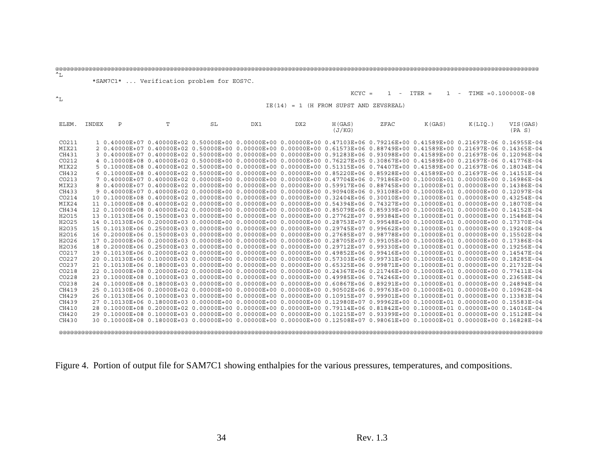| $\uparrow$                |                      |   |                                           |     |                                          |                  |                                                                                                                                                                                                                                  |                          |                                                                                                                                                                                                                                                          |                     |
|---------------------------|----------------------|---|-------------------------------------------|-----|------------------------------------------|------------------|----------------------------------------------------------------------------------------------------------------------------------------------------------------------------------------------------------------------------------|--------------------------|----------------------------------------------------------------------------------------------------------------------------------------------------------------------------------------------------------------------------------------------------------|---------------------|
|                           |                      |   | *SAM7C1*  Verification problem for EOS7C. |     |                                          |                  |                                                                                                                                                                                                                                  |                          |                                                                                                                                                                                                                                                          |                     |
|                           |                      |   |                                           |     |                                          | $KCYC =$         | $\mathbf{1}$<br>$\sim$                                                                                                                                                                                                           | $ITER =$<br>$\mathbf{1}$ |                                                                                                                                                                                                                                                          | TIME = 0.100000E-08 |
| $\mathsf{L}_{\mathrm{L}}$ |                      |   |                                           |     |                                          |                  |                                                                                                                                                                                                                                  |                          |                                                                                                                                                                                                                                                          |                     |
|                           |                      |   |                                           |     | $IE(14) = 1$ (H FROM SUPST AND ZEVSREAL) |                  |                                                                                                                                                                                                                                  |                          |                                                                                                                                                                                                                                                          |                     |
|                           |                      |   |                                           |     |                                          |                  |                                                                                                                                                                                                                                  |                          |                                                                                                                                                                                                                                                          |                     |
| ELEM.                     | INDEX<br>$\mathbf P$ | T | SL                                        | DX1 | DX <sub>2</sub>                          | H(GAS)<br>(J/KG) | ZFAC                                                                                                                                                                                                                             | K(GAS)                   | K(LIO.)                                                                                                                                                                                                                                                  | VIS (GAS)<br>(PA S) |
|                           |                      |   |                                           |     |                                          |                  |                                                                                                                                                                                                                                  |                          |                                                                                                                                                                                                                                                          |                     |
| CO211                     |                      |   |                                           |     |                                          |                  |                                                                                                                                                                                                                                  |                          | 1 0.40000E+07 0.40000E+02 0.50000E+00 0.00000E+00 0.00000E+00 0.47103E+06 0.79216E+00 0.41589E+00 0.21697E-06 0.16955E-04                                                                                                                                |                     |
| MIX21                     |                      |   |                                           |     |                                          |                  |                                                                                                                                                                                                                                  |                          | 2 0.40000E+07 0.40000E+02 0.50000E+00 0.00000E+00 0.00000E+00 0.61573E+06 0.88749E+00 0.41589E+00 0.21697E-06 0.14365E-04                                                                                                                                |                     |
| CH431                     |                      |   |                                           |     |                                          |                  |                                                                                                                                                                                                                                  |                          | 3 0.40000E+07 0.40000E+02 0.50000E+00 0.00000E+00 0.00000E+00 0.91283E+06 0.93098E+00 0.41589E+00 0.21697E-06 0.12096E-04                                                                                                                                |                     |
| CO212                     |                      |   |                                           |     |                                          |                  |                                                                                                                                                                                                                                  |                          | 4 0.10000E+08 0.40000E+02 0.50000E+00 0.00000E+00 0.00000E+00 0.76227E+05 0.30867E+00 0.41589E+00 0.21697E-06 0.41776E-04                                                                                                                                |                     |
| MIX22                     |                      |   |                                           |     |                                          |                  |                                                                                                                                                                                                                                  |                          | 5 0.10000E+08 0.40000E+02 0.50000E+00 0.00000E+00 0.00000E+00 0.51315E+06 0.74407E+00 0.41589E+00 0.21697E-06 0.18034E-04                                                                                                                                |                     |
| CH432                     |                      |   |                                           |     |                                          |                  | 6 0.10000E+08 0.40000E+02 0.50000E+00 0.00000E+00 0.00000E+00 0.85220E+06 0.85928E+00 0.41589E+00 0.21697E-06                                                                                                                    |                          |                                                                                                                                                                                                                                                          | 0.14151E-04         |
| CO213                     |                      |   |                                           |     |                                          |                  |                                                                                                                                                                                                                                  |                          | 7 0.40000E+07 0.40000E+02 0.00000E+00 0.00000E+00 0.00000E+00 0.47704E+06 0.79186E+00 0.10000E+01 0.00000E+00 0.16986E-04                                                                                                                                |                     |
| MIX23                     |                      |   |                                           |     |                                          |                  |                                                                                                                                                                                                                                  |                          | 8 0.40000E+07 0.40000E+02 0.00000E+00 0.00000E+00 0.00000E+00 0.59917E+06 0.88745E+00 0.10000E+01 0.00000E+00 0.14386E-04                                                                                                                                |                     |
| CH433                     |                      |   |                                           |     |                                          |                  | 9 0.40000E+07 0.40000E+02 0.00000E+00 0.00000E+00 0.00000E+00 0.90940E+06 0.93108E+00 0.10000E+01 0.00000E+00                                                                                                                    |                          |                                                                                                                                                                                                                                                          | 0.12097E-04         |
| CO214                     |                      |   |                                           |     |                                          |                  | 10 0.10000E+08 0.40000E+02 0.00000E+00 0.00000E+00 0.00000E+00 0.32404E+06 0.30010E+00 0.10000E+01 0.00000E+00                                                                                                                   |                          |                                                                                                                                                                                                                                                          | $0.43254E - 04$     |
| MIX24                     |                      |   |                                           |     |                                          |                  |                                                                                                                                                                                                                                  |                          | 11 0.10000E+08 0.40000E+02 0.00000E+00 0.00000E+00 0.00000E+00 0.54394E+06 0.74327E+00 0.10000E+01 0.00000E+00 0.18070E-04                                                                                                                               |                     |
| CH434                     |                      |   |                                           |     |                                          |                  | 12 0.10000E+08 0.40000E+02 0.00000E+00 0.00000E+00 0.00000E+00 0.85079E+06 0.85939E+00 0.10000E+01 0.00000E+00                                                                                                                   |                          |                                                                                                                                                                                                                                                          | 0.14152E-04         |
| H2O15<br>H2O25            |                      |   |                                           |     |                                          |                  |                                                                                                                                                                                                                                  |                          | 13 0.10130E+06 0.15000E+03 0.00000E+00 0.00000E+00 0.00000E+00 0.27762E+07 0.99384E+00 0.10000E+01 0.00000E+00 0.15486E-04                                                                                                                               |                     |
| H2O35                     |                      |   |                                           |     |                                          |                  |                                                                                                                                                                                                                                  |                          | 14 0.10130E+06 0.20000E+03 0.00000E+00 0.00000E+00 0.00000E+00 0.28753E+07 0.99548E+00 0.10000E+01 0.00000E+00 0.17370E-04<br>15 0.10130E+06 0.25000E+03 0.00000E+00 0.00000E+00 0.00000E+00 0.29745E+07 0.99662E+00 0.10000E+01 0.00000E+00 0.19240E-04 |                     |
| H2O16                     |                      |   |                                           |     |                                          |                  |                                                                                                                                                                                                                                  |                          |                                                                                                                                                                                                                                                          | $0.15502E - 04$     |
| H2O26                     |                      |   |                                           |     |                                          |                  | 16 0.20000E+06 0.15000E+03 0.00000E+00 0.00000E+00 0.00000E+00 0.27685E+07 0.98778E+00 0.10000E+01 0.00000E+00<br>17 0.20000E+06 0.20000E+03 0.00000E+00 0.00000E+00 0.00000E+00 0.28705E+07 0.99105E+00 0.10000E+01 0.00000E+00 |                          |                                                                                                                                                                                                                                                          | 0.17386E-04         |
| H2O36                     |                      |   |                                           |     |                                          |                  |                                                                                                                                                                                                                                  |                          | 18 0.20000E+06 0.25000E+03 0.00000E+00 0.00000E+00 0.00000E+00 0.29712E+07 0.99330E+00 0.10000E+01 0.00000E+00 0.19256E-04                                                                                                                               |                     |
| CO217                     |                      |   |                                           |     |                                          |                  | 19 0.10130E+06 0.20000E+02 0.00000E+00 0.00000E+00 0.00000E+00 0.49852E+06 0.99416E+00 0.10000E+01 0.00000E+00                                                                                                                   |                          |                                                                                                                                                                                                                                                          | 0.14547E-04         |
| CO227                     |                      |   |                                           |     |                                          |                  |                                                                                                                                                                                                                                  |                          | 20 0.10130E+06 0.10000E+03 0.00000E+00 0.00000E+00 0.00000E+00 0.57303E+06 0.99731E+00 0.10000E+01 0.00000E+00 0.18285E-04                                                                                                                               |                     |
| CO237                     |                      |   |                                           |     |                                          |                  |                                                                                                                                                                                                                                  |                          | 21 0.10130E+06 0.18000E+03 0.00000E+00 0.00000E+00 0.00000E+00 0.65325E+06 0.99871E+00 0.10000E+01 0.00000E+00 0.21732E-04                                                                                                                               |                     |
| CO218                     |                      |   |                                           |     |                                          |                  |                                                                                                                                                                                                                                  |                          | 22 0.10000E+08 0.20000E+02 0.00000E+00 0.00000E+00 0.00000E+00 0.24367E+06 0.21746E+00 0.10000E+01 0.00000E+00 0.77411E-04                                                                                                                               |                     |
| CO228                     |                      |   |                                           |     |                                          |                  | 23 0.10000E+08 0.10000E+03 0.00000E+00 0.00000E+00 0.00000E+00 0.49985E+06 0.74246E+00 0.10000E+01 0.00000E+00                                                                                                                   |                          |                                                                                                                                                                                                                                                          | 0.23658E-04         |
| CO238                     |                      |   |                                           |     |                                          |                  |                                                                                                                                                                                                                                  |                          | 24 0.10000E+08 0.18000E+03 0.00000E+00 0.00000E+00 0.00000E+00 0.60867E+06 0.89291E+00 0.10000E+01 0.00000E+00 0.24894E-04                                                                                                                               |                     |
| CH419                     |                      |   |                                           |     |                                          |                  |                                                                                                                                                                                                                                  |                          | 25 0.10130E+06 0.20000E+02 0.00000E+00 0.00000E+00 0.00000E+00 0.90502E+06 0.99763E+00 0.10000E+01 0.00000E+00 0.10962E-04                                                                                                                               |                     |
| CH429                     |                      |   |                                           |     |                                          |                  |                                                                                                                                                                                                                                  |                          | 26 0.10130E+06 0.10000E+03 0.00000E+00 0.00000E+00 0.00000E+00 0.10915E+07 0.99901E+00 0.10000E+01 0.00000E+00 0.13383E-04                                                                                                                               |                     |
| CH439                     |                      |   |                                           |     |                                          |                  |                                                                                                                                                                                                                                  |                          | 27 0.10130E+06 0.18000E+03 0.00000E+00 0.00000E+00 0.00000E+00 0.12980E+07 0.99962E+00 0.10000E+01 0.00000E+00 0.15583E-04                                                                                                                               |                     |
| CH410                     |                      |   |                                           |     |                                          |                  |                                                                                                                                                                                                                                  |                          | 28 0.10000E+08 0.20000E+02 0.00000E+00 0.00000E+00 0.00000E+00 0.79114E+06 0.81842E+00 0.10000E+01 0.00000E+00 0.14016E-04                                                                                                                               |                     |
| CH420                     |                      |   |                                           |     |                                          |                  |                                                                                                                                                                                                                                  |                          | 29 0.10000E+08 0.10000E+03 0.00000E+00 0.00000E+00 0.00000E+00 0.10215E+07 0.93399E+00 0.10000E+01 0.00000E+00 0.15128E-04                                                                                                                               |                     |
| CH430                     |                      |   |                                           |     |                                          |                  |                                                                                                                                                                                                                                  |                          | 30 0.10000E+08 0.18000E+03 0.00000E+00 0.00000E+00 0.00000E+00 0.12508E+07 0.98061E+00 0.10000E+01 0.00000E+00 0.16828E-04                                                                                                                               |                     |
|                           |                      |   |                                           |     |                                          |                  |                                                                                                                                                                                                                                  |                          |                                                                                                                                                                                                                                                          |                     |
|                           |                      |   |                                           |     |                                          |                  |                                                                                                                                                                                                                                  |                          |                                                                                                                                                                                                                                                          |                     |

Figure 4. Portion of output file for SAM7C1 showing enthalpies for the various pressures, temperatures, and compositions.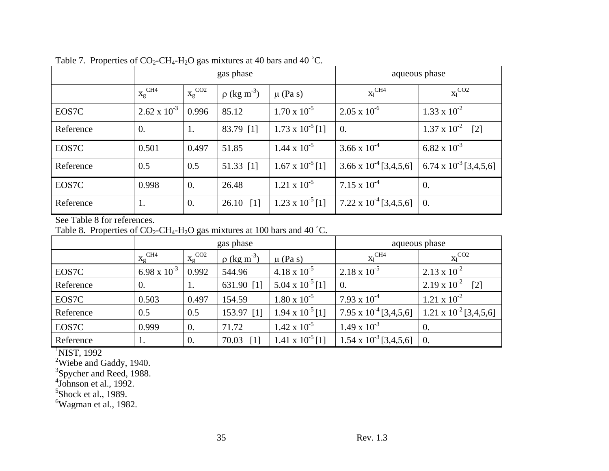|           |                       |                 | gas phase                    |                           | aqueous phase              |                                            |  |
|-----------|-----------------------|-----------------|------------------------------|---------------------------|----------------------------|--------------------------------------------|--|
|           | $X_g^{\text{CH4}}$    | $X_g^{\rm CO2}$ | $\rho$ (kg m <sup>-3</sup> ) | $\mu$ (Pa s)              | $X_1$ <sup>CH4</sup>       | $X_1^{\rm CO2}$                            |  |
| EOS7C     | $2.62 \times 10^{-3}$ | 0.996           | 85.12                        | $1.70 \times 10^{-5}$     | $2.05 \times 10^{-6}$      | $1.33 \times 10^{-2}$                      |  |
| Reference | $\theta$ .            | 1.              | 83.79 [1]                    | $1.73 \times 10^{-5}$ [1] | $\theta$ .                 | $1.37 \times 10^{-2}$<br>$\lceil 2 \rceil$ |  |
| EOS7C     | 0.501                 | 0.497           | 51.85                        | $1.44 \times 10^{-5}$     | 3.66 x $10^{-4}$           | 6.82 x $10^{-3}$                           |  |
| Reference | 0.5                   | 0.5             | 51.33 [1]                    | $1.67 \times 10^{-5}$ [1] | 3.66 x $10^{-4}$ [3,4,5,6] | 6.74 x $10^{-3}$ [3,4,5,6]                 |  |
| EOS7C     | 0.998                 | $\theta$ .      | 26.48                        | $1.21 \times 10^{-5}$     | $7.15 \times 10^{-4}$      | $\theta$ .                                 |  |
| Reference | 1.                    | 0.              | 26.10 [1]                    | $1.23 \times 10^{-5}$ [1] | 7.22 x $10^{-4}$ [3,4,5,6] | 0.                                         |  |

Table 7. Properties of  $CO_2$ -CH<sub>4</sub>-H<sub>2</sub>O gas mixtures at 40 bars and 40 °C.

See Table 8 for references.

Table 8. Properties of  $CO_2$ -CH<sub>4</sub>-H<sub>2</sub>O gas mixtures at 100 bars and 40 °C.

|                         |                       |                 | gas phase                    |                           | aqueous phase                   |                                            |  |
|-------------------------|-----------------------|-----------------|------------------------------|---------------------------|---------------------------------|--------------------------------------------|--|
|                         | $X_{\rm g}^{\rm CH4}$ | $X_g^{\rm CO2}$ | $\rho$ (kg m <sup>-3</sup> ) | $\mu$ (Pa s)              | $X_1^{\text{CH4}}$              | $X_1^{\rm CO2}$                            |  |
| EOS7C                   | $6.98 \times 10^{-3}$ | 0.992           | 544.96                       | $4.18 \times 10^{-5}$     | $2.18 \times 10^{-5}$           | $2.13 \times 10^{-2}$                      |  |
| Reference               | $\theta$ .            |                 | 631.90 [1]                   | $5.04 \times 10^{-5}$ [1] | $\overline{0}$ .                | $2.19 \times 10^{-2}$<br>$\lceil 2 \rceil$ |  |
| EOS7C                   | 0.503                 | 0.497           | 154.59                       | $1.80 \times 10^{-5}$     | $7.93 \times 10^{-4}$           | $1.21 \times 10^{-2}$                      |  |
| Reference               | 0.5                   | 0.5             | 153.97 [1]                   | $1.94 \times 10^{-5}$ [1] | 7.95 x $10^{4}$ [3,4,5,6]       | 1.21 x $10^{-2}$ [3,4,5,6]                 |  |
| EOS7C                   | 0.999                 | $\theta$ .      | 71.72                        | $1.42 \times 10^{-5}$     | $1.49 \times 10^{-3}$           | 0.                                         |  |
| Reference               | 1.                    | 0.              | 70.03<br>[1]                 | $1.41 \times 10^{-5}$ [1] | $1.54 \times 10^{-3}$ [3,4,5,6] | 0.                                         |  |
| <sup>1</sup> NIST, 1992 |                       |                 |                              |                           |                                 |                                            |  |

<sup>2</sup>Wiebe and Gaddy, 1940.

<sup>3</sup>Spycher and Reed, 1988.

 $4$ Johnson et al., 1992.

 $5$ Shock et al., 1989.

6Wagman et al., 1982.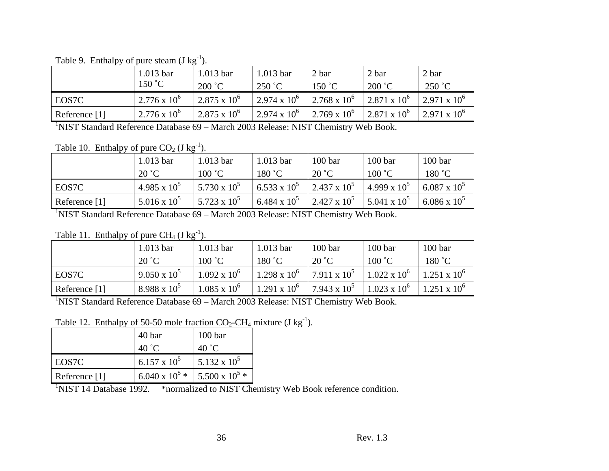Table 9. Enthalpy of pure steam  $(J \text{ kg}^{-1})$ .

|                 | $1.013$ bar<br>150 °C | $1.013$ bar<br>$200\text{ °C}$ | $1.013$ bar<br>250 °C | 2 bar<br>150 °C       | 2 bar<br>200 °C       | 2 bar<br>250 °C       |
|-----------------|-----------------------|--------------------------------|-----------------------|-----------------------|-----------------------|-----------------------|
| EOS7C           | $2.776 \times 10^6$   | $2.875 \times 10^6$            | $2.974 \times 10^6$   | $2.768 \times 10^6$   | $2.871 \times 10^{6}$ | $2.971 \times 10^6$   |
| Reference $[1]$ | $2.776 \times 10^6$   | $2.875 \times 10^{6}$          | $2.974 \times 10^{6}$ | $2.769 \times 10^{6}$ | $2.871 \times 10^{6}$ | $2.971 \times 10^{6}$ |

<sup>1</sup>NIST Standard Reference Database 69 – March 2003 Release: NIST Chemistry Web Book.

Table 10. Enthalpy of pure  $CO_2$  (J kg<sup>-1</sup>).

|               | $1.013$ bar           | $1.013$ bar           | $1.013$ bar           | 100 <sub>bar</sub>    | 100 <sub>bar</sub>    | 100 <sub>bar</sub>    |
|---------------|-----------------------|-----------------------|-----------------------|-----------------------|-----------------------|-----------------------|
|               | 20 °C                 | 100 °C                | 180 °C                | 20 °C                 | 100 °C                | 180 °C                |
| EOS7C         | $4.985 \times 10^{5}$ | $5.730 \times 10^{5}$ | $6.533 \times 10^{5}$ | $2.437 \times 10^{5}$ | $4.999 \times 10^{5}$ | $6.087 \times 10^{5}$ |
| Reference [1] | $5.016 \times 10^5$   | 5.723 x $10^5$        | 6.484 x $10^5$        | $2.427 \times 10^5$   | $5.041 \times 10^5$   | $6.086 \times 10^{5}$ |

<sup>1</sup>NIST Standard Reference Database 69 – March 2003 Release: NIST Chemistry Web Book.

Table 11. Enthalpy of pure  $CH_4$  (J kg<sup>-1</sup>).

|               | $1.013$ bar<br>20 °C  | $1.013$ bar<br>100 °C | $1.013$ bar<br>180 °C | 100 <sub>bar</sub><br>20 °C | 100 bar<br>100 °C     | 100 <sub>bar</sub><br>180 °C |
|---------------|-----------------------|-----------------------|-----------------------|-----------------------------|-----------------------|------------------------------|
| EOS7C         | $9.050 \times 10^5$   | $1.092 \times 10^{6}$ | $1.298 \times 10^{6}$ | $7.911 \times 10^5$         | $1.022 \times 10^{6}$ | $1.251 \times 10^{6}$        |
| Reference [1] | $8.988 \times 10^{5}$ | $1.085 \times 10^{6}$ | $1.291 \times 10^{6}$ | $7.943 \times 10^5$         | $1.023 \times 10^{6}$ | $1.251 \times 10^{6}$        |

<sup>1</sup>NIST Standard Reference Database 69 – March 2003 Release: NIST Chemistry Web Book.

Table 12. Enthalpy of 50-50 mole fraction  $CO_2$ -CH<sub>4</sub> mixture (J kg<sup>-1</sup>).

|               | 40 bar           | 100 <sub>bar</sub>      |
|---------------|------------------|-------------------------|
|               | 40 °C            | 40 °C                   |
| EOS7C         | 6.157 x $10^5$   | 5.132 x $10^5$          |
| Reference [1] | 6.040 x $10^5$ * | $5.500 \times 10^{5}$ * |
|               |                  |                         |

<sup>1</sup>NIST 14 Database 1992. \* normalized to NIST Chemistry Web Book reference condition.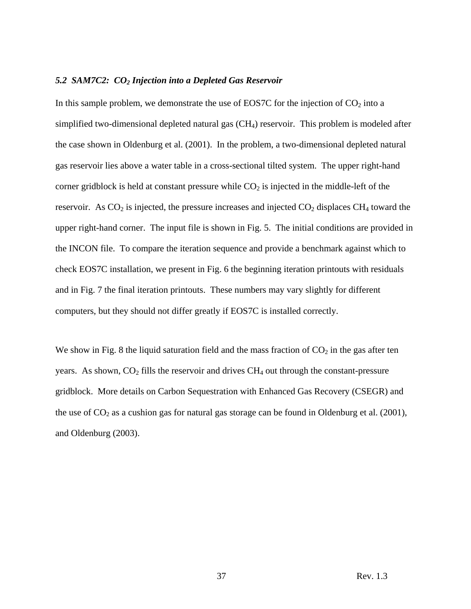#### *5.2 SAM7C2: CO2 Injection into a Depleted Gas Reservoir*

In this sample problem, we demonstrate the use of EOS7C for the injection of  $CO<sub>2</sub>$  into a simplified two-dimensional depleted natural gas  $(CH<sub>4</sub>)$  reservoir. This problem is modeled after the case shown in Oldenburg et al. (2001). In the problem, a two-dimensional depleted natural gas reservoir lies above a water table in a cross-sectional tilted system. The upper right-hand corner gridblock is held at constant pressure while  $CO<sub>2</sub>$  is injected in the middle-left of the reservoir. As  $CO_2$  is injected, the pressure increases and injected  $CO_2$  displaces  $CH_4$  toward the upper right-hand corner. The input file is shown in Fig. 5. The initial conditions are provided in the INCON file. To compare the iteration sequence and provide a benchmark against which to check EOS7C installation, we present in Fig. 6 the beginning iteration printouts with residuals and in Fig. 7 the final iteration printouts. These numbers may vary slightly for different computers, but they should not differ greatly if EOS7C is installed correctly.

We show in Fig. 8 the liquid saturation field and the mass fraction of  $CO<sub>2</sub>$  in the gas after ten years. As shown,  $CO<sub>2</sub>$  fills the reservoir and drives  $CH<sub>4</sub>$  out through the constant-pressure gridblock. More details on Carbon Sequestration with Enhanced Gas Recovery (CSEGR) and the use of  $CO<sub>2</sub>$  as a cushion gas for natural gas storage can be found in Oldenburg et al. (2001), and Oldenburg (2003).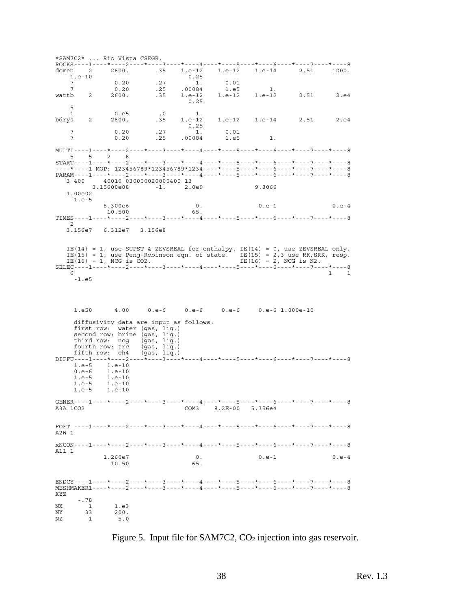|          |                    | *SAM7C2*  Rio Vista CSEGR.                                                                                                                                           |                            |                  |              |          |                           |                   |
|----------|--------------------|----------------------------------------------------------------------------------------------------------------------------------------------------------------------|----------------------------|------------------|--------------|----------|---------------------------|-------------------|
| domen    | 2                  | ROCKS----1----*----2----*----3----*----4----*----5----*----6----*----7----*----8<br>2600.                                                                            | .35                        | $1.e-12$         | 1.e-12       | 1.e-14   | 2.51                      | 1000.             |
| $1.e-10$ |                    |                                                                                                                                                                      |                            | 0.25             |              |          |                           |                   |
| 7        |                    | 0.20                                                                                                                                                                 | .27                        | 1.               | 0.01         |          |                           |                   |
| 7        |                    | 0.20                                                                                                                                                                 | .25                        | .00084           | 1.e5         | 1.       |                           |                   |
| wattb    | 2                  | 2600.                                                                                                                                                                | .35                        | $1.e-12$<br>0.25 | 1.e-12       | $1.e-12$ | 2.51                      | 2.e4              |
| 5        |                    |                                                                                                                                                                      |                            |                  |              |          |                           |                   |
| 1        |                    | 0.e5                                                                                                                                                                 | $\cdot$ 0                  | 1.               |              |          |                           |                   |
| bdrys    | 2                  | 2600.                                                                                                                                                                | .35                        | $1.e-12$         | 1.e-12       | 1.e-14   | 2.51                      | 2.e4              |
| 7        |                    | 0.20                                                                                                                                                                 |                            | 0.25             |              |          |                           |                   |
| 7        |                    | 0.20                                                                                                                                                                 | .27<br>.25                 | 1.<br>.00084     | 0.01<br>1.e5 | 1.       |                           |                   |
|          |                    |                                                                                                                                                                      |                            |                  |              |          |                           |                   |
|          |                    | MULTI----1----*----2----*----3----*----4----*----5----*----6----*----7----*----8                                                                                     |                            |                  |              |          |                           |                   |
| 5        | $5 -$              | $2^{\circ}$<br>8                                                                                                                                                     |                            |                  |              |          |                           |                   |
|          |                    | START----1----*----2----*----3----*----4----*----5----*----6----*----7----*----8<br>$---*---1$ MOP: 123456789*123456789*1234 ---*----5----*----6----*----7----*----8 |                            |                  |              |          |                           |                   |
|          |                    | PARAM----1----*----2----*----3----*----4----*----5----*----6----*----7----*----8                                                                                     |                            |                  |              |          |                           |                   |
| 3 400    |                    | 40010 030000020000400 13                                                                                                                                             |                            |                  |              |          |                           |                   |
|          |                    | 3.15600e08                                                                                                                                                           | $-1.$                      | 2.0e9            |              | 9.8066   |                           |                   |
| 1.00e02  |                    |                                                                                                                                                                      |                            |                  |              |          |                           |                   |
| $1.e-5$  |                    | 5.300e6                                                                                                                                                              |                            | 0.               |              | $0.e-1$  |                           | $0.e-4$           |
|          |                    | 10.500                                                                                                                                                               |                            | 65.              |              |          |                           |                   |
|          |                    | TIMES----1----*----2----*----3----*----4----*----5----*----6----*----7----*----8                                                                                     |                            |                  |              |          |                           |                   |
| 2        |                    |                                                                                                                                                                      |                            |                  |              |          |                           |                   |
| 3.156e7  |                    | 6.312e7 3.156e8                                                                                                                                                      |                            |                  |              |          |                           |                   |
|          |                    |                                                                                                                                                                      |                            |                  |              |          |                           |                   |
|          |                    | IE(14) = 1, use SUPST & ZEVSREAL for enthalpy. IE(14) = 0, use ZEVSREAL only.                                                                                        |                            |                  |              |          |                           |                   |
|          |                    | IE(15) = 1, use Peng-Robinson eqn. of state. IE(15) = 2,3 use RK, SRK, resp.                                                                                         |                            |                  |              |          |                           |                   |
|          |                    | $IE(16) = 1$ , NCG is CO2.<br>SELEC----1----*----2----*----3----*----4----*----5----*----6----*----7----*----8                                                       |                            |                  |              |          | $IE(16) = 2$ , NCG is N2. |                   |
| 6        |                    |                                                                                                                                                                      |                            |                  |              |          |                           | $\mathbf{1}$<br>1 |
| $-1.e5$  |                    |                                                                                                                                                                      |                            |                  |              |          |                           |                   |
|          |                    |                                                                                                                                                                      |                            |                  |              |          |                           |                   |
|          |                    |                                                                                                                                                                      |                            |                  |              |          |                           |                   |
|          |                    |                                                                                                                                                                      |                            |                  |              |          |                           |                   |
|          |                    |                                                                                                                                                                      |                            |                  |              |          |                           |                   |
|          |                    |                                                                                                                                                                      |                            |                  |              |          |                           |                   |
| 1.e50    |                    | $4.00$ $0. e-6$ $0. e-6$ $0. e-6$ $0. e-6$ $1.000e-10$                                                                                                               |                            |                  |              |          |                           |                   |
|          |                    | diffusivity data are input as follows:                                                                                                                               |                            |                  |              |          |                           |                   |
|          |                    | first row: water (gas, liq.)                                                                                                                                         |                            |                  |              |          |                           |                   |
|          |                    | second row: brine (gas, liq.)                                                                                                                                        |                            |                  |              |          |                           |                   |
|          |                    | third row: ncg<br>fourth row: trc                                                                                                                                    | (gas, liq.)                |                  |              |          |                           |                   |
|          |                    | fifth row:<br>ch4                                                                                                                                                    | (gas, liq.)<br>(gas, liq.) |                  |              |          |                           |                   |
|          |                    | DIFFU----1----*----2----*----3----*----4----*----5----*----6----*----7----*----8                                                                                     |                            |                  |              |          |                           |                   |
|          | $1.e-5$            | $1.e-10$                                                                                                                                                             |                            |                  |              |          |                           |                   |
|          | $0.e-6$            | $1.e-10$                                                                                                                                                             |                            |                  |              |          |                           |                   |
|          | $1.e-5$<br>$1.e-5$ | $1.e-10$<br>$1.e-10$                                                                                                                                                 |                            |                  |              |          |                           |                   |
| $1.e-5$  |                    | $1.e-10$                                                                                                                                                             |                            |                  |              |          |                           |                   |
|          |                    |                                                                                                                                                                      |                            |                  |              |          |                           |                   |
|          |                    | GENER----1----*----2----*----3----*----4----*----5----*----6----*----7----*----8                                                                                     |                            |                  |              |          |                           |                   |
| A3A 1CO2 |                    |                                                                                                                                                                      |                            | COM3             | $8.2E - 00$  | 5.356e4  |                           |                   |
|          |                    |                                                                                                                                                                      |                            |                  |              |          |                           |                   |
|          |                    | FOFT ----1----*----2----*----3----*----4----*----5----*----6----*----7----*----8                                                                                     |                            |                  |              |          |                           |                   |
| A2W 1    |                    |                                                                                                                                                                      |                            |                  |              |          |                           |                   |
|          |                    |                                                                                                                                                                      |                            |                  |              |          |                           |                   |
| A11 1    |                    | xNCON----1----*----2----*----3----*----4----*----5----*----6----*----7----*----8                                                                                     |                            |                  |              |          |                           |                   |
|          |                    | 1.260e7                                                                                                                                                              |                            | 0.               |              | $0.e-1$  |                           | $0.e-4$           |
|          |                    | 10.50                                                                                                                                                                |                            | 65.              |              |          |                           |                   |
|          |                    |                                                                                                                                                                      |                            |                  |              |          |                           |                   |
|          |                    | ENDCY----1----*----2----*----3----*----4----*----5----*----6----*----7----*----8                                                                                     |                            |                  |              |          |                           |                   |
|          |                    | MESHMAKER1----*----2----*---3----*----4----*----5----*----6----*---7----*----8                                                                                       |                            |                  |              |          |                           |                   |
| XYZ      |                    |                                                                                                                                                                      |                            |                  |              |          |                           |                   |
|          | $-.78$             |                                                                                                                                                                      |                            |                  |              |          |                           |                   |
| NΧ<br>ΝY | 1<br>33            | 1.e3<br>200.                                                                                                                                                         |                            |                  |              |          |                           |                   |

Figure 5. Input file for SAM7C2, CO<sub>2</sub> injection into gas reservoir.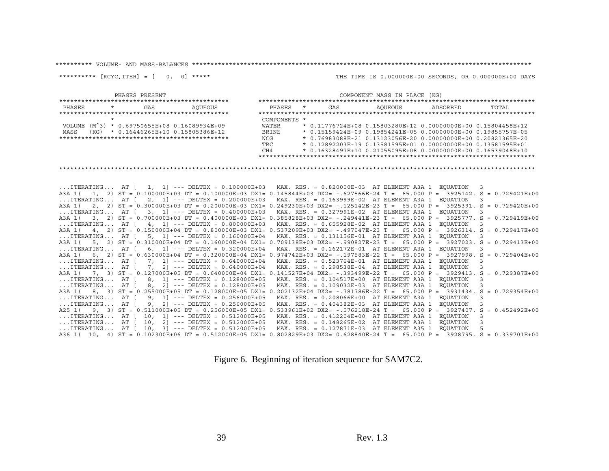\*\*\*\*\*\*\*\*\*\* VOLUME- AND MASS-BALANCES \*\*\*\*\*\*\*\*\*\*\*\*\*\*\*\*\*\*\*\*\*\*\*\*\*\*\*\*\*\*\*\*\*\*\*\*\*\*\*\*\*\*\*\*\*\*\*\*\*\*\*\*\*\*\*\*\*\*\*\*\*\*\*\*\*\*\*\*\*\*\*\*\*\*\*\*\*\*\*\*\*\*\*\*\*\*\*\*\*\*\*\*

 PHASES PRESENT COMPONENT MASS IN PLACE (KG) \*\*\*\*\*\*\*\*\*\*\*\*\*\*\*\*\*\*\*\*\*\*\*\*\*\*\*\*\*\*\*\*\*\*\*\*\*\*\*\*\*\*\*\*\*\* \*\*\*\*\*\*\*\*\*\*\*\*\*\*\*\*\*\*\*\*\*\*\*\*\*\*\*\*\*\*\*\*\*\*\*\*\*\*\*\*\*\*\*\*\*\*\*\*\*\*\*\*\*\*\*\*\*\*\*\*\*\*\*\*\*\*\*\*\*\*\*\*\*\*\* PHASES \* GAS AQUEOUS PHASES \* GAS AQUEOUS PHASES ADSORBED TOTAL \*\*\*\*\*\*\*\*\*\*\*\*\*\*\*\*\*\*\*\*\*\*\*\*\*\*\*\*\*\*\*\*\*\*\*\*\*\*\*\*\*\*\*\*\*\* \*\*\*\*\*\*\*\*\*\*\*\*\*\*\*\*\*\*\*\*\*\*\*\*\*\*\*\*\*\*\*\*\*\*\*\*\*\*\*\*\*\*\*\*\*\*\*\*\*\*\*\*\*\*\*\*\*\*\*\*\*\*\*\*\*\*\*\*\*\*\*\*\*\*\* \* COMPONENTS \* VOLUME (M^3) \* 0.69750655E+08 0.16089934E+09 WATER \* 0.11776724E+08 0.15803280E+12 0.00000000E+00 0.15804458E+12 MASS (KG) \* 0.16446265E+10 0.15805386E+12 BRINE \* 0.15159424E-09 0.19854241E-05 0.00000000E+00 0.19855757E-05 \*\*\*\*\*\*\*\*\*\*\*\*\*\*\*\*\*\*\*\*\*\*\*\*\*\*\*\*\*\*\*\*\*\*\*\*\*\*\*\*\*\*\*\*\*\* NCG \* 0.76983088E-21 0.13123056E-20 0.00000000E+00 0.20821365E-20 TRC \* 0.12892203E-19 0.13581595E+01 0.00000000E+00 0.13581595E+01 CH4 \* 0.16328497E+10 0.21055095E+08 0.00000000E+00 0.16539048E+10 \*\*\*\*\*\*\*\*\*\*\*\*\*\*\*\*\*\*\*\*\*\*\*\*\*\*\*\*\*\*\*\*\*\*\*\*\*\*\*\*\*\*\*\*\*\*\*\*\*\*\*\*\*\*\*\*\*\*\*\*\*\*\*\*\*\*\*\*\*\*\*\*\*\*\* \*\*\*\*\*\*\*\*\*\*\*\*\*\*\*\*\*\*\*\*\*\*\*\*\*\*\*\*\*\*\*\*\*\*\*\*\*\*\*\*\*\*\*\*\*\*\*\*\*\*\*\*\*\*\*\*\*\*\*\*\*\*\*\*\*\*\*\*\*\*\*\*\*\*\*\*\*\*\*\*\*\*\*\*\*\*\*\*\*\*\*\*\*\*\*\*\*\*\*\*\*\*\*\*\*\*\*\*\*\*\*\*\*\*\*\*\*\*\*\*\*\*\*\*\*\*\*\*\* ...ITERATING... AT [ 1, 1] --- DELTEX = 0.100000E+03 MAX. RES. = 0.820000E-03 AT ELEMENT A3A 1 EQUATION 3 A3A 1( 1, 2) ST = 0.100000E+03 DT = 0.100000E+03 DX1= 0.145844E+03 DX2= -.627566E-24 T = 65.000 P = 3925142. S = 0.729421E+00 ...ITERATING... AT [ 2, 1] --- DELTEX = 0.200000E+03 MAX. RES. = 0.163999E-02 AT ELEMENT A3A 1 EQUATION 3 A3A 1( 2, 2) ST = 0.300000E+03 DT = 0.200000E+03 DX1= 0.249230E+03 DX2= -.125142E-23 T = 65.000 P = 3925391. S = 0.729420E+00 ...ITERATING... AT [ 3, 1] --- DELTEX = 0.400000E+03 MAX. RES. = 0.327991E-02 AT ELEMENT A3A 1 EQUATION 3 A3A 1( 3, 2) ST = 0.700000E+03 DT = 0.400000E+03 DX1= 0.385828E+03 DX2= -.249441E-23 T = 65.000 P = 3925777. S = 0.729419E+00 ...ITERATING... AT [ 4, 1] --- DELTEX = 0.800000E+03 MAX. RES. = 0.655928E-02 AT ELEMENT A3A 1 EQUATION 3 A3A 1( 4, 2) ST = 0.150000E+04 DT = 0.800000E+03 DX1= 0.537209E+03 DX2= -.497047E-23 T = 65.000 P = 3926314. S = 0.729417E+00 ...ITERATING... AT [ 5, 1] --- DELTEX = 0.160000E+04 MAX. RES. = 0.131156E-01 AT ELEMENT A3A 1 EQUATION 3 A3A 1( 5, 2) ST = 0.310000E+04 DT = 0.160000E+04 DX1= 0.709138E+03 DX2= -.990827E-23 T = 65.000 P = 3927023. S = 0.729413E+00 ...ITERATING... AT [ 6, 1] --- DELTEX = 0.320000E+04 MAX. RES. = 0.262172E-01 AT ELEMENT A3A 1 EQUATION 3 A3A 1( 6, 2) ST = 0.630000E+04 DT = 0.320000E+04 DX1= 0.974742E+03 DX2= -.197583E-22 T = 65.000 P = 3927998. S = 0.729404E+00 ...ITERATING... AT [ 7, 1] --- DELTEX = 0.640000E+04 MAX. RES. = 0.523764E-01 AT ELEMENT A3A 1 EQUATION 3 ...ITERATING... AT [ 7, 2] --- DELTEX = 0.640000E+04 MAX. RES. = 0.298538E-04 AT ELEMENT A3A 1 EQUATION 3 A3A 1( 7, 3) ST = 0.127000E+05 DT = 0.640000E+04 DX1= 0.141527E+04 DX2= -.393499E-22 T = 65.000 P = 3929413. S = 0.729387E+00 ...ITERATING... AT [ 8, 1] --- DELTEX = 0.128000E+05 MAX. RES. = 0.104517E+00 AT ELEMENT A3A 1 EQUATION 3 ...ITERATING... AT [ 8, 2] --- DELTEX = 0.128000E+05 MAX. RES. = 0.109032E-03 AT ELEMENT A3A 1 EQUATION 3 A3A 1( 8, 3) ST = 0.255000E+05 DT = 0.128000E+05 DX1= 0.202132E+04 DX2= -.781786E-22 T = 65.000 P = 3931434. S = 0.729354E+00 ...ITERATING... AT [ 9, 1] --- DELTEX = 0.256000E+05 MAX. RES. = 0.208066E+00 AT ELEMENT A3A 1 EQUATION 3 ...ITERATING... AT [ 9, 2] --- DELTEX = 0.256000E+05 MAX. RES. = 0.404382E-03 AT ELEMENT A3A 1 EQUATION 3 A25 1( 9, 3) ST = 0.511000E+05 DT = 0.256000E+05 DX1= 0.533961E+02 DX2= -.576218E-24 T = 65.000 P = 3927407. S = 0.452492E+00 ...ITERATING... AT [ 10, 1] --- DELTEX = 0.512000E+05 MAX. RES. = 0.412204E+00 AT ELEMENT A3A 1 EQUATION 3 ...ITERATING... AT [ 10, 2] --- DELTEX = 0.512000E+05 MAX. RES. = 0.148265E-02 AT ELEMENT A3A 1 EQUATION 3 ...ITERATING... AT [ 10, 3] --- DELTEX = 0.512000E+05 MAX. RES. = 0.127871E-03 AT ELEMENT A35 1 EQUATION 5 A36 1( 10, 4) ST = 0.102300E+06 DT = 0.512000E+05 DX1= 0.802829E+03 DX2= 0.628840E-24 T = 65.000 P = 3928795. S = 0.339701E+00

Figure 6. Beginning of iteration sequence for SAM7C2.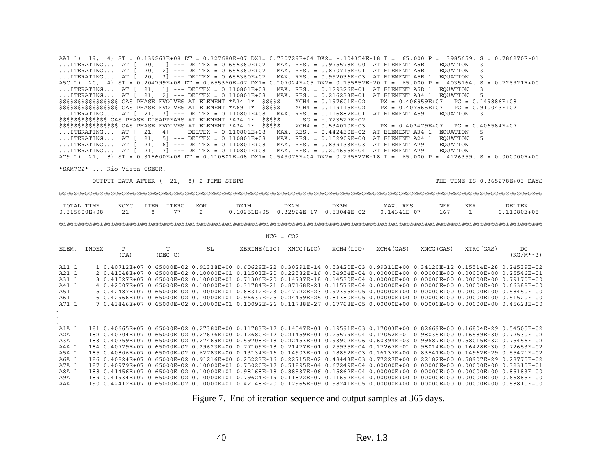AAI 1( 19, 4) ST = 0.139263E+08 DT = 0.327680E+07 DX1= 0.730729E+04 DX2= -.104354E-18 T = 65.000 P = 3985659. S = 0.786270E-01 ...ITERATING... AT [ 20, 1] --- DELTEX = 0.655360E+07 MAX. RES. = 0.975578E+00 AT ELEMENT A5B 1 EQUATION 3 ...ITERATING... AT [ 20, 2] --- DELTEX = 0.655360E+07 MAX. RES. = 0.870715E-01 AT ELEMENT A5B 1 EQUATION 3 ...ITERATING... AT [ 20, 3] --- DELTEX = 0.655360E+07 MAX. RES. = 0.992036E-03 AT ELEMENT A5B 1 EQUATION 3 A5C 1( 20, 4) ST = 0.204799E+08 DT = 0.655360E+07 DX1= 0.107024E+05 DX2= 0.155852E-20 T = 65.000 P = 4035164. S = 0.726921E+00 ...ITERATING... AT [ 21, 1] --- DELTEX = 0.110801E+08 MAX. RES. = 0.129326E+01 AT ELEMENT A5D 1 EQUATION 3 ...ITERATING... AT [ 21, 2] --- DELTEX = 0.110801E+08 MAX. RES. = 0.216233E+01 AT ELEMENT A34 1 EQUATION 5 \$\$\$\$\$\$\$\$\$\$\$\$\$\$\$\$ GAS PHASE EVOLVES AT ELEMENT \*A34 1\* \$\$\$\$\$ XCH4 = 0.197601E-02 PX = 0.406959E+07 PG = 0.149886E+08 \$\$\$\$\$\$\$\$\$\$\$\$\$\$\$\$ GAS PHASE EVOLVES AT ELEMENT \*A69 1\* \$\$\$\$\$ XCH4 = 0.119115E-02 PX = 0.407565E+07 PG = 0.910043E+07 ...ITERATING... AT [ 21, 3] --- DELTEX = 0.110801E+08 MAX. RES. = 0.116882E+01 AT ELEMENT A59 1 EQUATION 3 \$\$\$\$\$\$\$\$\$\$\$\$\$ GAS PHASE DISAPPEARS AT ELEMENT \*A34 1\* \$\$\$\$\$ SG = -.723527E-02 \$\$\$\$\$\$\$\$\$\$\$\$\$\$\$\$\$ GAS PHASE EVOLVES AT ELEMENT \*A34 1\* \$\$\$\$\$ XCH4 = 0.534010E-03 PX = 0.403479E+07 PG = 0.406584E+07 ...ITERATING... AT [ 21, 4] --- DELTEX = 0.110801E+08 MAX. RES. = 0.442450E+02 AT ELEMENT A34 1 EQUATION 5 ...ITERATING... AT [ 21, 5] --- DELTEX = 0.110801E+08 MAX. RES. = 0.152909E+00 AT ELEMENT A24 1 EQUATION 5 ...ITERATING... AT [ 21, 6] --- DELTEX = 0.110801E+08 MAX. RES. = 0.839133E-03 AT ELEMENT A79 1 EQUATION 1 ...ITERATING... AT [ 21, 7] --- DELTEX = 0.110801E+08 MAX. RES. = 0.204695E-04 AT ELEMENT A79 1 EQUATION 1 A79 1( 21, 8) ST = 0.315600E+08 DT = 0.110801E+08 DX1= 0.549076E+04 DX2= 0.295527E-18 T = 65.000 P = 4126359. S = 0.000000E+00 \*SAM7C2\* ... Rio Vista CSEGR. OUTPUT DATA AFTER ( 21, 8)-2-TIME STEPS THE THE THE TIME IS 0.365278E+03 DAYS @@@@@@@@@@@@@@@@@@@@@@@@@@@@@@@@@@@@@@@@@@@@@@@@@@@@@@@@@@@@@@@@@@@@@@@@@@@@@@@@@@@@@@@@@@@@@@@@@@@@@@@@@@@@@@@@@@@@@@@@@@@@@@@@@@@ TOTAL TIME KCYC ITER ITERC KON DX1M DX2M DX3M MAX. RES. NER KER DELTEX 0.315600E+08 21 8 77 2 0.10251E+05 0.32924E-17 0.53044E-02 0.14341E-07 167 1 0.11080E+08 @@@@@@@@@@@@@@@@@@@@@@@@@@@@@@@@@@@@@@@@@@@@@@@@@@@@@@@@@@@@@@@@@@@@@@@@@@@@@@@@@@@@@@@@@@@@@@@@@@@@@@@@@@@@@@@@@@@@@@@@@@@@@@@@@@@  $NCG = CO2$  ELEM. INDEX P T SL XBRINE(LIQ) XNCG(LIQ) XCH4(LIQ) XCH4(GAS) XNCG(GAS) XTRC(GAS) DG  $(PA)$  (DEG-C) (KG/M\*\*3) A11 1 1 0.40712E+07 0.65000E+02 0.91338E+00 0.60629E-22 0.30291E-14 0.53420E-03 0.99311E+00 0.34120E-12 0.15514E-28 0.24539E+02 A21 1 2 0.41048E+07 0.65000E+02 0.10000E+01 0.11503E-20 0.22582E-16 0.54954E-04 0.00000E+00 0.00000E+00 0.00000E+00 0.25546E+01 A31 1 3 0.41527E+07 0.65000E+02 0.10000E+01 0.71306E-20 0.14737E-18 0.14530E-04 0.00000E+00 0.00000E+00 0.00000E+00 0.79170E+00 A41 1 4 0.42007E+07 0.65000E+02 0.10000E+01 0.31784E-21 0.87168E-21 0.11576E-04 0.00000E+00 0.00000E+00 0.00000E+00 0.66388E+00 A51 1 5 0.42487E+07 0.65000E+02 0.10000E+01 0.68312E-23 0.47722E-23 0.97395E-05 0.00000E+00 0.00000E+00 0.00000E+00 0.58450E+00 A61 1 6 0.42966E+07 0.65000E+02 0.10000E+01 0.96637E-25 0.24459E-25 0.81380E-05 0.00000E+00 0.00000E+00 0.00000E+00 0.51520E+00 A71 1 7 0.43446E+07 0.65000E+02 0.10000E+01 0.10092E-26 0.11788E-27 0.67768E-05 0.00000E+00 0.00000E+00 0.00000E+00 0.45623E+00 . . . A1A 1 181 0.40665E+07 0.65000E+02 0.27380E+00 0.11783E-17 0.14547E-01 0.19591E-03 0.17003E+00 0.82669E+00 0.16804E-29 0.54505E+02 A2A 1 182 0.40704E+07 0.65000E+02 0.27636E+00 0.12680E-17 0.21459E-01 0.25579E-04 0.17052E-01 0.98035E+00 0.16589E-30 0.72530E+02 A3A 1 183 0.40759E+07 0.65000E+02 0.27469E+00 0.59708E-18 0.22453E-01 0.93902E-06 0.60394E-03 0.99687E+00 0.58015E-32 0.75456E+02 A4A 1 184 0.40779E+07 0.65000E+02 0.29623E+00 0.77109E-18 0.21477E-01 0.25935E-04 0.17267E-01 0.98014E+00 0.16428E-30 0.72653E+02 A5A 1 185 0.40806E+07 0.65000E+02 0.62783E+00 0.13134E-16 0.14903E-01 0.18892E-03 0.16137E+00 0.83541E+00 0.14962E-29 0.55471E+02 A6A 1 186 0.40824E+07 0.65000E+02 0.91216E+00 0.25223E-16 0.22715E-02 0.48443E-03 0.77227E+00 0.22182E+00 0.58907E-29 0.28775E+02 A7A 1 187 0.40979E+07 0.65000E+02 0.10000E+01 0.75020E-17 0.51895E-04 0.67249E-04 0.00000E+00 0.00000E+00 0.00000E+00 0.32315E+01 A8A 1 188 0.41456E+07 0.65000E+02 0.10000E+01 0.98168E-18 0.88537E-06 0.15862E-04 0.00000E+00 0.00000E+00 0.00000E+00 0.85183E+00 A9A 1 189 0.41934E+07 0.65000E+02 0.10000E+01 0.79624E-19 0.11872E-07 0.11692E-04 0.00000E+00 0.00000E+00 0.00000E+00 0.66885E+00 AAA 1 190 0.42412E+07 0.65000E+02 0.10000E+01 0.42148E-20 0.12965E-09 0.98241E-05 0.00000E+00 0.00000E+00 0.00000E+00 0.58810E+00

Figure 7. End of iteration sequence and output samples at 365 days.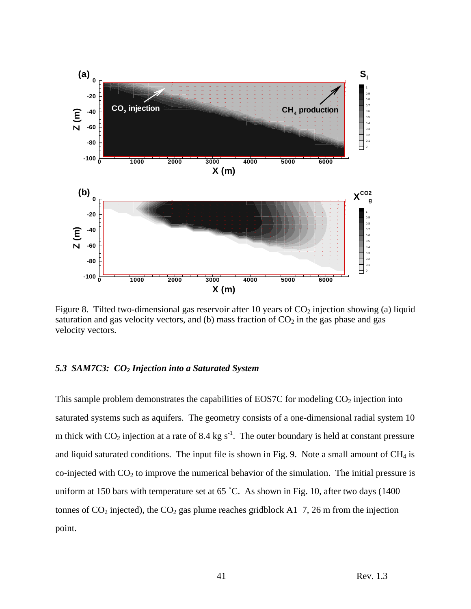

Figure 8. Tilted two-dimensional gas reservoir after 10 years of  $CO<sub>2</sub>$  injection showing (a) liquid saturation and gas velocity vectors, and (b) mass fraction of  $CO<sub>2</sub>$  in the gas phase and gas velocity vectors.

#### *5.3 SAM7C3: CO2 Injection into a Saturated System*

This sample problem demonstrates the capabilities of EOS7C for modeling  $CO<sub>2</sub>$  injection into saturated systems such as aquifers. The geometry consists of a one-dimensional radial system 10 m thick with CO<sub>2</sub> injection at a rate of 8.4 kg s<sup>-1</sup>. The outer boundary is held at constant pressure and liquid saturated conditions. The input file is shown in Fig. 9. Note a small amount of  $CH_4$  is co-injected with  $CO<sub>2</sub>$  to improve the numerical behavior of the simulation. The initial pressure is uniform at 150 bars with temperature set at 65 ˚C. As shown in Fig. 10, after two days (1400 tonnes of  $CO_2$  injected), the  $CO_2$  gas plume reaches gridblock A1 7, 26 m from the injection point.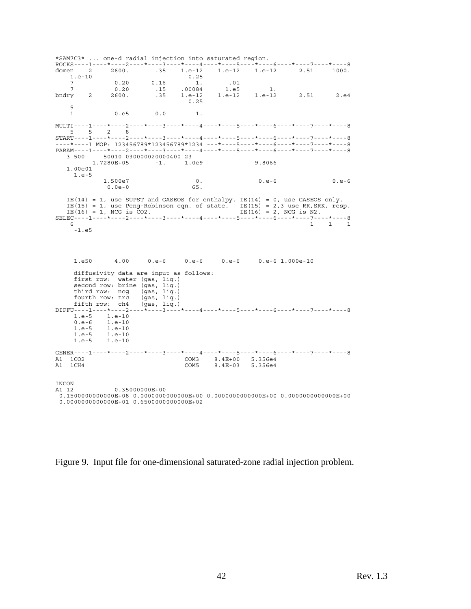\*SAM7C3\* ... one-d radial injection into saturated region. ROCKS----1----\*----2----\*----3----\*----4----\*----5----\*----6----\*----7----\*----8<br>domen 2 2600. .35 1.e-12 1.e-12 1.e-12 2.51 1000.<br>1.e-10 0.20 0.16 1.e3<br>7 0.20 0.16 1.e5<br>2.51 2.e4<br>bndry 2 2600. .35 1.e-12 1.e-12 1.e-12 2.5  $\frac{5}{1}$  $0. e5 0.0 1.$ MULTI----1----\*----2----\*----3----\*----4----\*----5----\*----6----\*----7----\*----8 5 5 2 8  $START---1---*---2---*---3---+---4---+---5---+---5-------*---6---*---7---*---7---*---8$ ----\*----1 MOP: 123456789\*123456789\*1234 ---\*----5----\*----6----\*----7----\*----8 PARAM----1----\*----2----\*----3----\*----4----\*----5----\*----6----\*----7----\*----8 50010 030000020000400 23<br>7280E+05 -1. 1.0e9 1.7280E+05 -1. 1.0e9 9.8066 1.00e01 1.e-5  $1.500e7$  0.  $0. e-6$  0.e-6 0.0e-0 65. IE(14) = 1, use SUPST and GASEOS for enthalpy. IE(14) = 0, use GASEOS only. IE(15) = 1, use Peng-Robinson eqn. of state. IE(15) = 2,3 use RK,SRK, resp.<br>
IE(16) = 1, NCG is CO2. IE(16) = 2, NCG is N2.<br>
SELEC----1----\*----2----\*----3----\*----4----\*----5----\*----6----\*----7----\*----8 6 1 1 1 -1.e5 1.e50 4.00 0.e-6 0.e-6 0.e-6 0.e-6 1.000e-10 diffusivity data are input as follows: first row: water (gas, liq.) second row: brine (gas, liq.) third row: ncg (gas, liq.)<br>fourth row: trc (gas, liq.) fourth row: trc (gas, liq.)<br>fifth row: ch4 (gas, liq.) fifth row: ch4 DIFFU----1----\*----2----\*----3----\*----4----\*----5----\*----6----\*----7----\*----8 1.e-5 1.e-10<br>0.e-6 1.e-10 0.e-6 1.e-10<br>1.e-5 1.e-10 1.e-5 1.e-10 1.e-5 1.e-10 1.e-5 1.e-10 GENER----1----\*----2----\*----3----\*----4----\*----5----\*-----6----\*----7----\*----8<br>A1 1CO2 COM3 8.4E+00 5.356e4 A1 1CO2 COM3 8.4E+00 5.356e4 A1 1CH4 COM5 8.4E-03 5.356e4 INCON<br>A1 12 0.35000000E+00 0.1500000000000E+08 0.0000000000000E+00 0.0000000000000E+00 0.0000000000000E+00 0.0000000000000E+01 0.6500000000000E+02

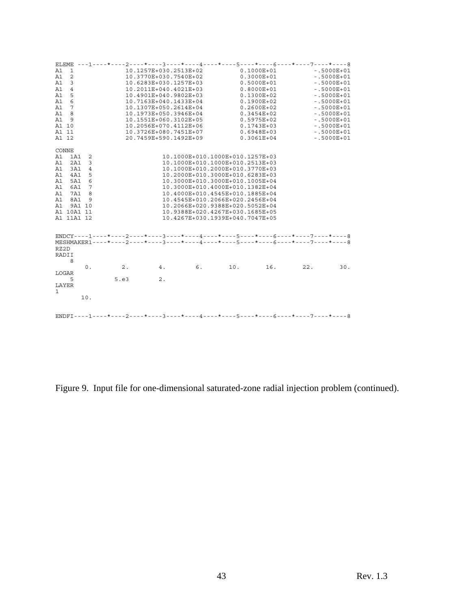| ELEME        |                |                | ---1----*----2----*----3----*----4----*----5----*----6----*----7----*----8       |                       |                                 |     |                |     |                 |
|--------------|----------------|----------------|----------------------------------------------------------------------------------|-----------------------|---------------------------------|-----|----------------|-----|-----------------|
| A1           | $\mathbf{1}$   |                |                                                                                  | 10.1257E+030.2513E+02 |                                 |     | $0.1000E + 01$ |     | $-0.5000E + 01$ |
| A1           | 2              |                |                                                                                  | 10.3770E+030.7540E+02 |                                 |     | $0.3000E + 01$ |     | $-15000E + 01$  |
| A1           | 3              |                |                                                                                  | 10.6283E+030.1257E+03 |                                 |     | $0.5000E + 01$ |     | $-0.5000E + 01$ |
| A1           | $\overline{4}$ |                |                                                                                  | 10.2011E+040.4021E+03 |                                 |     | $0.8000E + 01$ |     | $-15000E + 01$  |
| A1           | 5              |                |                                                                                  | 10.4901E+040.9802E+03 |                                 |     | $0.1300E + 02$ |     | $-15000E + 01$  |
| A1           | 6              |                |                                                                                  | 10.7163E+040.1433E+04 |                                 |     | $0.1900E + 02$ |     | $-0.5000E + 01$ |
| A1           | 7              |                |                                                                                  | 10.1307E+050.2614E+04 |                                 |     | $0.2600E + 02$ |     | $-0.5000E + 01$ |
| A1           | 8              |                |                                                                                  | 10.1973E+050.3946E+04 |                                 |     | $0.3454E + 02$ |     | $-15000E + 01$  |
| A1           | 9              |                |                                                                                  | 10.1551E+060.3102E+05 |                                 |     | $0.5975E + 02$ |     | $-15000E + 01$  |
| A1 10        |                |                |                                                                                  | 10.2056E+070.4112E+06 |                                 |     | $0.1743E + 03$ |     | $-15000E + 01$  |
| A1 11        |                |                |                                                                                  | 10.3726E+080.7451E+07 |                                 |     | $0.6948E + 03$ |     | $-0.5000E + 01$ |
| A1 12        |                |                |                                                                                  | 20.7459E+590.1492E+09 |                                 |     | $0.3061E + 04$ |     | $-15000E + 01$  |
| CONNE        |                |                |                                                                                  |                       |                                 |     |                |     |                 |
| A1           | 1A1            | $\overline{c}$ |                                                                                  |                       | 10.1000E+010.1000E+010.1257E+03 |     |                |     |                 |
| A1           | 2A1            | 3              |                                                                                  |                       | 10.1000E+010.1000E+010.2513E+03 |     |                |     |                 |
| A1           | 3A1            | 4              |                                                                                  |                       | 10.1000E+010.2000E+010.3770E+03 |     |                |     |                 |
| A1           | 4A1            | 5              |                                                                                  |                       | 10.2000E+010.3000E+010.6283E+03 |     |                |     |                 |
| A1           | 5A1            | 6              |                                                                                  |                       | 10.3000E+010.3000E+010.1005E+04 |     |                |     |                 |
| A1           | 6A1            | 7              |                                                                                  |                       | 10.3000E+010.4000E+010.1382E+04 |     |                |     |                 |
| A1           | 7A1            | 8              |                                                                                  |                       | 10.4000E+010.4545E+010.1885E+04 |     |                |     |                 |
| A1           | <b>8A1</b>     | 9              |                                                                                  |                       | 10.4545E+010.2066E+020.2456E+04 |     |                |     |                 |
| A1           | 9A1 10         |                |                                                                                  |                       | 10.2066E+020.9388E+020.5052E+04 |     |                |     |                 |
|              | A1 10A1 11     |                |                                                                                  |                       | 10.9388E+020.4267E+030.1685E+05 |     |                |     |                 |
|              | A1 11A1 12     |                |                                                                                  |                       | 10.4267E+030.1939E+040.7047E+05 |     |                |     |                 |
|              |                |                |                                                                                  |                       |                                 |     |                |     |                 |
|              |                |                | ENDCY----1----*----2----*----3----*----4----*----5----*----6----*----7----*----8 |                       |                                 |     |                |     |                 |
|              |                |                | MESHMAKER1----*----2----*----3----*----4----*----5----*----6----*----7----*----8 |                       |                                 |     |                |     |                 |
| RZ2D         |                |                |                                                                                  |                       |                                 |     |                |     |                 |
| RADII        |                |                |                                                                                  |                       |                                 |     |                |     |                 |
|              | 8              |                |                                                                                  |                       |                                 |     |                |     |                 |
|              |                | 0.             | 2.                                                                               | 4.                    | 6.                              | 10. | 16.            | 22. | 30.             |
| LOGAR        |                |                |                                                                                  |                       |                                 |     |                |     |                 |
|              | 5              |                | 5.e3                                                                             | $2$ .                 |                                 |     |                |     |                 |
| LAYER        |                |                |                                                                                  |                       |                                 |     |                |     |                 |
| $\mathbf{1}$ |                |                |                                                                                  |                       |                                 |     |                |     |                 |
|              |                | 10.            |                                                                                  |                       |                                 |     |                |     |                 |
|              |                |                |                                                                                  |                       |                                 |     |                |     |                 |
|              |                |                | $ENDFI---1---+---2---+---3---+---4---+---5---+---6---+---6---+---7---+---8$      |                       |                                 |     |                |     |                 |

Figure 9. Input file for one-dimensional saturated-zone radial injection problem (continued).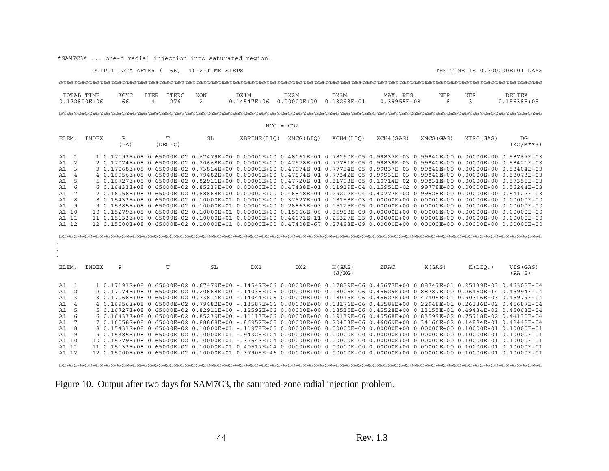\*SAM7C3\* ... one-d radial injection into saturated region.

| OUTPUT DATA AFTER                                                                                                                                                                                                                                                                                                                                                                                                                                                                                                                                                                                                                                                                                                                                                                                                                                                                                                                                                                                                                                                                                                                                                                                                                                                                                                                                                                                                                                                                                                                                                                                                                                                                                      | 66.                                    | $4) - 2 - TIME STEPS$        |                         |                         |                         |                              |                 | THE TIME IS 0.200000E+01 DAYS |                           |
|--------------------------------------------------------------------------------------------------------------------------------------------------------------------------------------------------------------------------------------------------------------------------------------------------------------------------------------------------------------------------------------------------------------------------------------------------------------------------------------------------------------------------------------------------------------------------------------------------------------------------------------------------------------------------------------------------------------------------------------------------------------------------------------------------------------------------------------------------------------------------------------------------------------------------------------------------------------------------------------------------------------------------------------------------------------------------------------------------------------------------------------------------------------------------------------------------------------------------------------------------------------------------------------------------------------------------------------------------------------------------------------------------------------------------------------------------------------------------------------------------------------------------------------------------------------------------------------------------------------------------------------------------------------------------------------------------------|----------------------------------------|------------------------------|-------------------------|-------------------------|-------------------------|------------------------------|-----------------|-------------------------------|---------------------------|
|                                                                                                                                                                                                                                                                                                                                                                                                                                                                                                                                                                                                                                                                                                                                                                                                                                                                                                                                                                                                                                                                                                                                                                                                                                                                                                                                                                                                                                                                                                                                                                                                                                                                                                        |                                        |                              |                         |                         |                         |                              |                 |                               |                           |
| TOTAL TIME<br>KCYC<br>0.172800E+06<br>66                                                                                                                                                                                                                                                                                                                                                                                                                                                                                                                                                                                                                                                                                                                                                                                                                                                                                                                                                                                                                                                                                                                                                                                                                                                                                                                                                                                                                                                                                                                                                                                                                                                               | ITERC<br>ITER<br>276<br>$\overline{4}$ | <b>KON</b><br>$\overline{2}$ | DX1M<br>$0.14547E + 06$ | DX2M<br>$0.00000E + 00$ | DX3M<br>$0.13293E - 01$ | MAX. RES.<br>$0.39955E - 08$ | <b>NER</b><br>8 | <b>KER</b><br>3               | DELTEX<br>$0.15638E + 05$ |
|                                                                                                                                                                                                                                                                                                                                                                                                                                                                                                                                                                                                                                                                                                                                                                                                                                                                                                                                                                                                                                                                                                                                                                                                                                                                                                                                                                                                                                                                                                                                                                                                                                                                                                        |                                        |                              |                         |                         |                         |                              |                 |                               |                           |
| $NCG = CO2$                                                                                                                                                                                                                                                                                                                                                                                                                                                                                                                                                                                                                                                                                                                                                                                                                                                                                                                                                                                                                                                                                                                                                                                                                                                                                                                                                                                                                                                                                                                                                                                                                                                                                            |                                        |                              |                         |                         |                         |                              |                 |                               |                           |
| INDEX<br>$\mathbf{P}$<br>ELEM.<br>(PA)                                                                                                                                                                                                                                                                                                                                                                                                                                                                                                                                                                                                                                                                                                                                                                                                                                                                                                                                                                                                                                                                                                                                                                                                                                                                                                                                                                                                                                                                                                                                                                                                                                                                 | $\mathbf T$<br>$(DEG-C)$               | SL                           | XBRINE (LIO)            | XNCG (LIO)              | XCH4 (LIO)              | XCH4 (GAS)                   | XNCG (GAS)      | XTRC (GAS)                    | DG<br>$(KG/M**3)$         |
| 1 0.17193E+08 0.65000E+02 0.67479E+00 0.00000E+00 0.48061E-01 0.78290E-05 0.99837E-03 0.99840E+00 0.00000E+00 0.58767E+03<br>A1<br>1<br>2<br>A1<br>2 0.17074E+08 0.65000E+02 0.20668E+00 0.00000E+00 0.47978E-01 0.77781E-05 0.99839E-03 0.99840E+00 0.00000E+00 0.58421E+03<br>3<br>3 0.17068E+08 0.65000E+02 0.73814E+00 0.00000E+00 0.47974E-01 0.77754E-05 0.99837E-03 0.99840E+00 0.00000E+00 0.58404E+03<br>A1<br>$\overline{4}$<br>4 0.16956E+08 0.65000E+02 0.79482E+00 0.00000E+00 0.47894E-01 0.77342E-05 0.99931E-03 0.99840E+00 0.00000E+00 0.58073E+03<br>A1<br>5<br>5 0.16727E+08 0.65000E+02 0.82911E+00 0.00000E+00 0.47720E-01 0.81793E-05 0.10714E-02 0.99831E+00 0.00000E+00 0.57355E+03<br>A1<br>6<br>A1<br>6 0.16433E+08 0.65000E+02 0.85239E+00 0.00000E+00 0.47438E-01 0.11919E-04 0.15951E-02 0.99778E+00 0.00000E+00 0.56244E+03<br>7<br>A1<br>7 0.16058E+08 0.65000E+02 0.88868E+00 0.00000E+00 0.46848E-01 0.29207E-04 0.40777E-02 0.99528E+00 0.00000E+00 0.54127E+03<br>8<br>8 0.15433E+08 0.65000E+02 0.10000E+01 0.00000E+00 0.37627E-01 0.18158E-03 0.00000E+00 0.00000E+00 0.00000E+00 0.00000E+00<br>A1<br>9<br>9 0.15385E+08 0.65000E+02 0.10000E+01 0.00000E+00 0.28863E-03 0.15125E-05 0.00000E+00 0.00000E+00 0.00000E+00 0.00000E+00<br>A1<br>A1 10<br>10 0.15279E+08 0.65000E+02 0.10000E+01 0.00000E+00 0.15666E-06 0.85988E-09 0.00000E+00 0.00000E+00 0.00000E+00 0.00000E+00<br>A1 11<br>11 0.15133E+08 0.65000E+02 0.10000E+01 0.00000E+00 0.44671E-11 0.25327E-13 0.00000E+00 0.00000E+00 0.00000E+00 0.00000E+00<br>A1 12<br>12 0.15000E+08 0.65000E+02 0.10000E+01 0.00000E+00 0.47408E-67 0.27493E-69 0.00000E+00 0.00000E+00 0.00000E+00 0.00000E+00 |                                        |                              |                         |                         |                         |                              |                 |                               |                           |
| @@@@@@@@@@@@@@@@@@@@@@@@                                                                                                                                                                                                                                                                                                                                                                                                                                                                                                                                                                                                                                                                                                                                                                                                                                                                                                                                                                                                                                                                                                                                                                                                                                                                                                                                                                                                                                                                                                                                                                                                                                                                               |                                        |                              |                         |                         |                         |                              |                 |                               |                           |
| ELEM.<br>INDEX<br>$\mathbf P$                                                                                                                                                                                                                                                                                                                                                                                                                                                                                                                                                                                                                                                                                                                                                                                                                                                                                                                                                                                                                                                                                                                                                                                                                                                                                                                                                                                                                                                                                                                                                                                                                                                                          | T                                      | SL                           | DX1                     | DX <sub>2</sub>         | H(GAS)<br>(J/KG)        | ZFAC                         | K(GAS)          | K(LIO.)                       | VIS (GAS)<br>(PA S)       |
| 1<br>10.17193E+080.65000E+020.67479E+00-.14547E+060.00000E+000.17839E+060.45677E+000.88747E-010.25139E-030.46302E-04<br>A1<br>$\mathbf{2}$<br>2 0.17074E+08 0.65000E+02 0.20668E+00 -.14038E+06 0.00000E+00 0.18006E+06 0.45629E+00 0.88787E+00 0.26462E-14 0.45994E-04<br>A1<br>3<br>A1<br>3 0.17068E+08 0.65000E+02 0.73814E+00 -.14044E+06 0.00000E+00 0.18015E+06 0.45627E+00 0.47405E-01 0.90316E-03 0.45979E-04<br>$\overline{4}$<br>A1<br>4 0.16956E+08 0.65000E+02 0.79482E+00 -.13587E+06 0.00000E+00 0.18176E+06 0.45586E+00 0.22948E-01 0.26336E-02 0.45687E-04<br>5<br>5 0.16727E+08 0.65000E+02 0.82911E+00 -.12592E+06 0.00000E+00 0.18535E+06 0.45528E+00 0.13155E-01 0.49434E-02 0.45063E-04<br>A1<br>6<br>6 0.16433E+08 0.65000E+02 0.85239E+00 -.11113E+06 0.00000E+00 0.19139E+06 0.45568E+00 0.83599E-02 0.75718E-02 0.44130E-04<br>A1<br>7<br>7 0.16058E+08 0.65000E+02 0.88868E+00 -.86952E+05 0.00000E+00 0.20453E+06 0.46069E+00 0.34166E-02 0.14884E-01 0.42442E-04<br>A1<br>8<br>8 0.15433E+08 0.65000E+02 0.10000E+01 -.11978E+05 0.00000E+00 0.00000E+00 0.00000E+00 0.00000E+00 0.10000E+01 0.10000E+01<br>A1<br>9<br>9 0.15385E+08 0.65000E+02 0.10000E+01 -.94325E+04 0.00000E+00 0.00000E+00 0.00000E+00 0.00000E+00 0.10000E+01 0.10000E+01<br>A1<br>A1 10<br>10 0.15279E+08 0.65000E+02 0.10000E+01 -.37543E+04 0.00000E+00 0.00000E+00 0.00000E+00 0.00000E+00 0.10000E+01 0.10000E+01<br>A1 11<br>11 0.15133E+08 0.65000E+02 0.10000E+01 0.40517E+04 0.00000E+00 0.00000E+00 0.00000E+00 0.00000E+00 0.10000E+01 0.10000E+01                                                                                                                                       |                                        |                              |                         |                         |                         |                              |                 |                               |                           |
| A1 12<br>12 0.15000E+08 0.65000E+02 0.10000E+01 0.37905E-46 0.00000E+00 0.00000E+00 0.00000E+00 0.00000E+00 0.10000E+01 0.10000E+01                                                                                                                                                                                                                                                                                                                                                                                                                                                                                                                                                                                                                                                                                                                                                                                                                                                                                                                                                                                                                                                                                                                                                                                                                                                                                                                                                                                                                                                                                                                                                                    |                                        |                              |                         |                         |                         |                              |                 |                               |                           |

Figure 10. Output after two days for SAM7C3, the saturated-zone radial injection problem.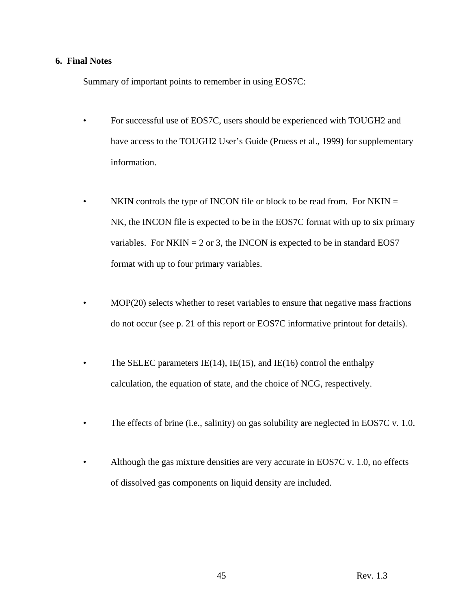#### **6. Final Notes**

Summary of important points to remember in using EOS7C:

- For successful use of EOS7C, users should be experienced with TOUGH2 and have access to the TOUGH2 User's Guide (Pruess et al., 1999) for supplementary information.
- NKIN controls the type of INCON file or block to be read from. For NKIN = NK, the INCON file is expected to be in the EOS7C format with up to six primary variables. For NKIN =  $2$  or  $3$ , the INCON is expected to be in standard EOS7 format with up to four primary variables.
- MOP(20) selects whether to reset variables to ensure that negative mass fractions do not occur (see p. 21 of this report or EOS7C informative printout for details).
- The SELEC parameters IE(14), IE(15), and IE(16) control the enthalpy calculation, the equation of state, and the choice of NCG, respectively.
- The effects of brine (i.e., salinity) on gas solubility are neglected in EOS7C v. 1.0.
- Although the gas mixture densities are very accurate in EOS7C v. 1.0, no effects of dissolved gas components on liquid density are included.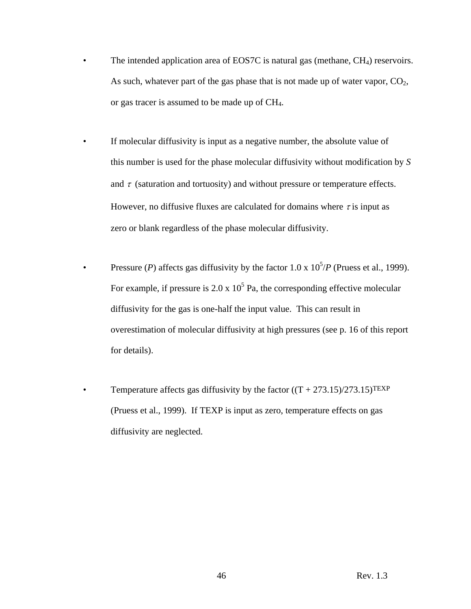- The intended application area of EOS7C is natural gas (methane,  $CH<sub>4</sub>$ ) reservoirs. As such, whatever part of the gas phase that is not made up of water vapor,  $CO<sub>2</sub>$ , or gas tracer is assumed to be made up of CH4.
- If molecular diffusivity is input as a negative number, the absolute value of this number is used for the phase molecular diffusivity without modification by *S*  and  $\tau$  (saturation and tortuosity) and without pressure or temperature effects. However, no diffusive fluxes are calculated for domains where  $\tau$  is input as zero or blank regardless of the phase molecular diffusivity.
- Pressure (*P*) affects gas diffusivity by the factor 1.0 x  $10^5$ /*P* (Pruess et al., 1999). For example, if pressure is 2.0 x  $10<sup>5</sup>$  Pa, the corresponding effective molecular diffusivity for the gas is one-half the input value. This can result in overestimation of molecular diffusivity at high pressures (see p. 16 of this report for details).
	- Temperature affects gas diffusivity by the factor  $((T + 273.15)/273.15)^{TEXP}$  (Pruess et al., 1999). If TEXP is input as zero, temperature effects on gas diffusivity are neglected.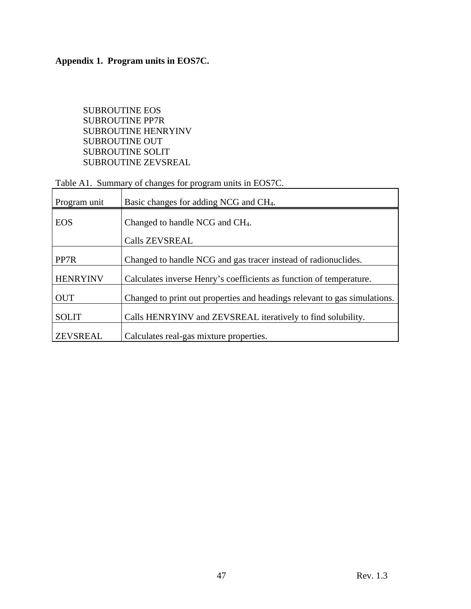## **Appendix 1. Program units in EOS7C.**

 SUBROUTINE EOS SUBROUTINE PP7R SUBROUTINE HENRYINV SUBROUTINE OUT SUBROUTINE SOLIT SUBROUTINE ZEVSREAL

Table A1. Summary of changes for program units in EOS7C.

| Program unit    | Basic changes for adding NCG and CH <sub>4</sub> .                        |
|-----------------|---------------------------------------------------------------------------|
| <b>EOS</b>      | Changed to handle NCG and CH <sub>4</sub> .                               |
|                 | Calls <b>ZEVSREAL</b>                                                     |
| PP7R            | Changed to handle NCG and gas tracer instead of radionuclides.            |
| <b>HENRYINV</b> | Calculates inverse Henry's coefficients as function of temperature.       |
| <b>OUT</b>      | Changed to print out properties and headings relevant to gas simulations. |
| <b>SOLIT</b>    | Calls HENRYINV and ZEVSREAL iteratively to find solubility.               |
| <b>ZEVSREAL</b> | Calculates real-gas mixture properties.                                   |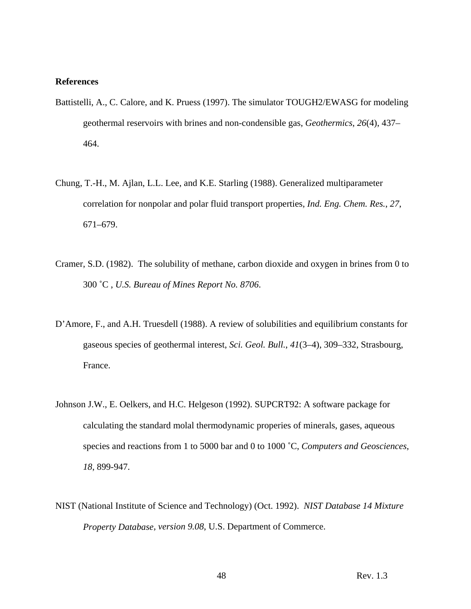#### **References**

- Battistelli, A., C. Calore, and K. Pruess (1997). The simulator TOUGH2/EWASG for modeling geothermal reservoirs with brines and non-condensible gas, *Geothermics*, *26*(4), 437– 464.
- Chung, T.-H., M. Ajlan, L.L. Lee, and K.E. Starling (1988). Generalized multiparameter correlation for nonpolar and polar fluid transport properties, *Ind. Eng. Chem. Res.*, *27*, 671–679.
- Cramer, S.D. (1982). The solubility of methane, carbon dioxide and oxygen in brines from 0 to 300 ˚C , *U.S. Bureau of Mines Report No. 8706*.
- D'Amore, F., and A.H. Truesdell (1988). A review of solubilities and equilibrium constants for gaseous species of geothermal interest, *Sci. Geol. Bull.*, *41*(3–4), 309–332, Strasbourg, France.
- Johnson J.W., E. Oelkers, and H.C. Helgeson (1992). SUPCRT92: A software package for calculating the standard molal thermodynamic properies of minerals, gases, aqueous species and reactions from 1 to 5000 bar and 0 to 1000 ˚C, *Computers and Geosciences*, *18*, 899-947.
- NIST (National Institute of Science and Technology) (Oct. 1992). *NIST Database 14 Mixture Property Database*, *version 9.08*, U.S. Department of Commerce.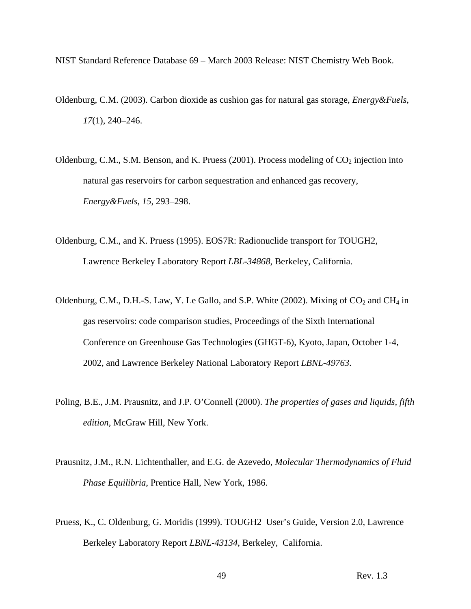NIST Standard Reference Database 69 – March 2003 Release: NIST Chemistry Web Book.

- Oldenburg, C.M. (2003). Carbon dioxide as cushion gas for natural gas storage, *Energy&Fuels*, *17*(1), 240–246.
- Oldenburg, C.M., S.M. Benson, and K. Pruess (2001). Process modeling of  $CO<sub>2</sub>$  injection into natural gas reservoirs for carbon sequestration and enhanced gas recovery, *Energy&Fuels*, *15*, 293–298.
- Oldenburg, C.M., and K. Pruess (1995). EOS7R: Radionuclide transport for TOUGH2, Lawrence Berkeley Laboratory Report *LBL-34868*, Berkeley, California.
- Oldenburg, C.M., D.H.-S. Law, Y. Le Gallo, and S.P. White  $(2002)$ . Mixing of CO<sub>2</sub> and CH<sub>4</sub> in gas reservoirs: code comparison studies, Proceedings of the Sixth International Conference on Greenhouse Gas Technologies (GHGT-6), Kyoto, Japan, October 1-4, 2002, and Lawrence Berkeley National Laboratory Report *LBNL-49763*.
- Poling, B.E., J.M. Prausnitz, and J.P. O'Connell (2000). *The properties of gases and liquids, fifth edition*, McGraw Hill, New York.
- Prausnitz, J.M., R.N. Lichtenthaller, and E.G. de Azevedo, *Molecular Thermodynamics of Fluid Phase Equilibria*, Prentice Hall, New York, 1986.
- Pruess, K., C. Oldenburg, G. Moridis (1999). TOUGH2 User's Guide, Version 2.0, Lawrence Berkeley Laboratory Report *LBNL-43134*, Berkeley, California.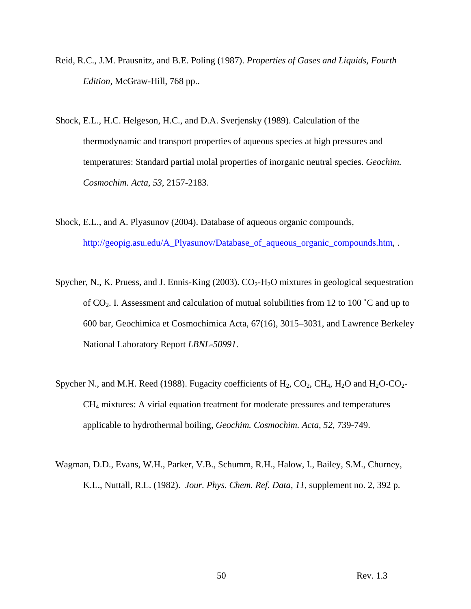- Reid, R.C., J.M. Prausnitz, and B.E. Poling (1987). *Properties of Gases and Liquids, Fourth Edition,* McGraw-Hill, 768 pp..
- Shock, E.L., H.C. Helgeson, H.C., and D.A. Sverjensky (1989). Calculation of the thermodynamic and transport properties of aqueous species at high pressures and temperatures: Standard partial molal properties of inorganic neutral species. *Geochim. Cosmochim. Acta*, *53*, 2157-2183.
- Shock, E.L., and A. Plyasunov (2004). Database of aqueous organic compounds, http://geopig.asu.edu/A\_Plyasunov/Database\_of\_aqueous\_organic\_compounds.htm, .
- Spycher, N., K. Pruess, and J. Ennis-King (2003).  $CO<sub>2</sub>-H<sub>2</sub>O$  mixtures in geological sequestration of CO2. I. Assessment and calculation of mutual solubilities from 12 to 100 ˚C and up to 600 bar, Geochimica et Cosmochimica Acta, 67(16), 3015–3031, and Lawrence Berkeley National Laboratory Report *LBNL-50991*.
- Spycher N., and M.H. Reed (1988). Fugacity coefficients of  $H_2$ ,  $CO_2$ ,  $CH_4$ ,  $H_2O$  and  $H_2O$ - $CO_2$ -CH4 mixtures: A virial equation treatment for moderate pressures and temperatures applicable to hydrothermal boiling, *Geochim. Cosmochim. Acta*, *52*, 739-749.
- Wagman, D.D., Evans, W.H., Parker, V.B., Schumm, R.H., Halow, I., Bailey, S.M., Churney, K.L., Nuttall, R.L. (1982). *Jour. Phys. Chem. Ref. Data*, *11*, supplement no. 2, 392 p.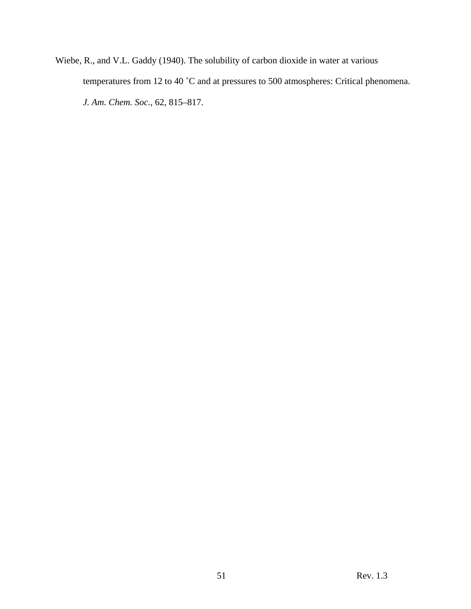Wiebe, R., and V.L. Gaddy (1940). The solubility of carbon dioxide in water at various temperatures from 12 to 40 ˚C and at pressures to 500 atmospheres: Critical phenomena. *J. Am. Chem. Soc.*, 62, 815–817.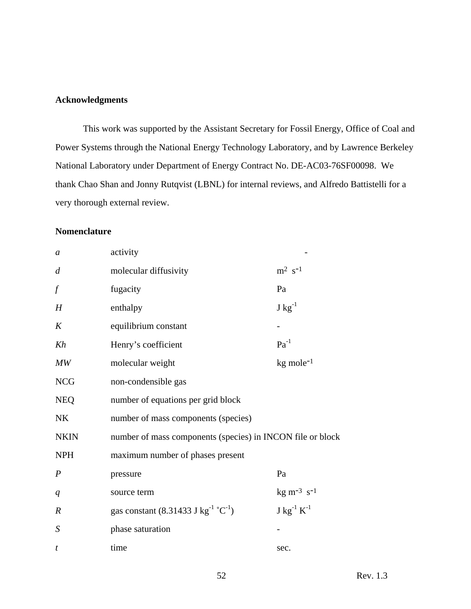### **Acknowledgments**

 This work was supported by the Assistant Secretary for Fossil Energy, Office of Coal and Power Systems through the National Energy Technology Laboratory, and by Lawrence Berkeley National Laboratory under Department of Energy Contract No. DE-AC03-76SF00098. We thank Chao Shan and Jonny Rutqvist (LBNL) for internal reviews, and Alfredo Battistelli for a very thorough external review.

#### **Nomenclature**

| $\mathfrak a$    | activity                                                    |                                        |
|------------------|-------------------------------------------------------------|----------------------------------------|
| $\overline{d}$   | molecular diffusivity                                       | $m^2$ s <sup>-1</sup>                  |
| $\int$           | fugacity                                                    | Pa                                     |
| H                | enthalpy                                                    | $J kg^{-1}$                            |
| K                | equilibrium constant                                        |                                        |
| Kh               | Henry's coefficient                                         | $Pa^{-1}$                              |
| MW               | molecular weight                                            | $kg$ mole <sup>-1</sup>                |
| <b>NCG</b>       | non-condensible gas                                         |                                        |
| <b>NEQ</b>       | number of equations per grid block                          |                                        |
| <b>NK</b>        | number of mass components (species)                         |                                        |
| <b>NKIN</b>      | number of mass components (species) in INCON file or block  |                                        |
| <b>NPH</b>       | maximum number of phases present                            |                                        |
| $\boldsymbol{P}$ | pressure                                                    | Pa                                     |
| q                | source term                                                 | $kg \, \text{m}^{-3} \, \text{s}^{-1}$ |
| $\boldsymbol{R}$ | gas constant (8.31433 J kg <sup>-1</sup> °C <sup>-1</sup> ) | $J kg^{-1} K^{-1}$                     |
| S                | phase saturation                                            |                                        |
| t                | time                                                        | sec.                                   |